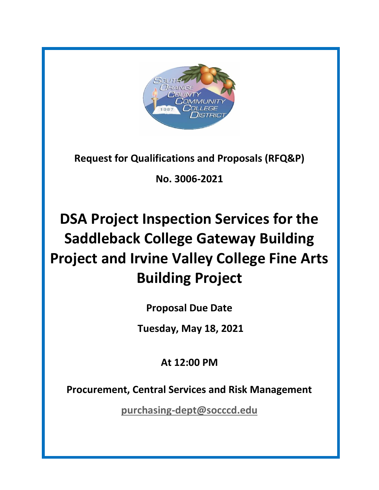

**Request for Qualifications and Proposals (RFQ&P)**

**No. 3006-2021**

# **DSA Project Inspection Services for the Saddleback College Gateway Building Project and Irvine Valley College Fine Arts Building Project**

**Proposal Due Date**

**Tuesday, May 18, 2021**

**At 12:00 PM**

**Procurement, Central Services and Risk Management**

**[purchasing-dept@socccd.edu](mailto:purchasing-dept@socccd.edu)**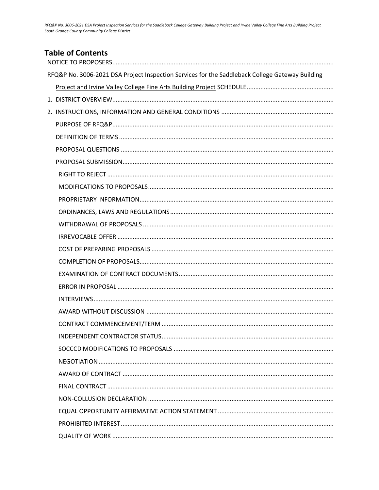| <b>Table of Contents</b>                                                                        |
|-------------------------------------------------------------------------------------------------|
| RFQ&P No. 3006-2021 DSA Project Inspection Services for the Saddleback College Gateway Building |
|                                                                                                 |
|                                                                                                 |
|                                                                                                 |
|                                                                                                 |
|                                                                                                 |
|                                                                                                 |
|                                                                                                 |
|                                                                                                 |
|                                                                                                 |
|                                                                                                 |
|                                                                                                 |
|                                                                                                 |
|                                                                                                 |
|                                                                                                 |
|                                                                                                 |
|                                                                                                 |
|                                                                                                 |
|                                                                                                 |
|                                                                                                 |
|                                                                                                 |
|                                                                                                 |
|                                                                                                 |
|                                                                                                 |
|                                                                                                 |
|                                                                                                 |
|                                                                                                 |
|                                                                                                 |
|                                                                                                 |
|                                                                                                 |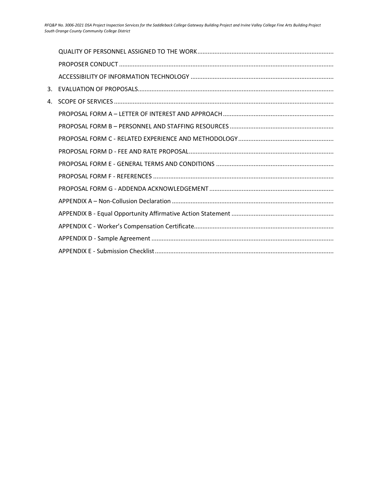| 4. |  |
|----|--|
|    |  |
|    |  |
|    |  |
|    |  |
|    |  |
|    |  |
|    |  |
|    |  |
|    |  |
|    |  |
|    |  |
|    |  |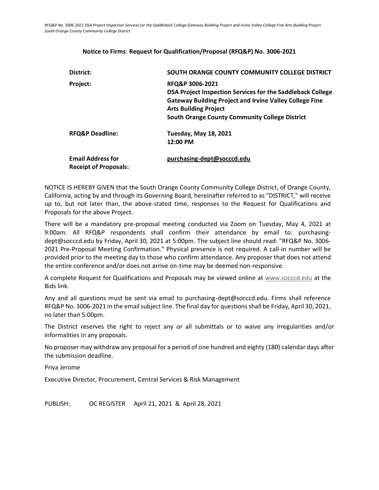#### **Notice to Firms**: **Request for Qualification/Proposal (RFQ&P) No. 3006-2021**

<span id="page-3-0"></span>

| District:                                                | SOUTH ORANGE COUNTY COMMUNITY COLLEGE DISTRICT                                                                                                                                                                                           |  |
|----------------------------------------------------------|------------------------------------------------------------------------------------------------------------------------------------------------------------------------------------------------------------------------------------------|--|
| Project:                                                 | RFQ&P 3006-2021<br>DSA Project Inspection Services for the Saddleback College<br><b>Gateway Building Project and Irvine Valley College Fine</b><br><b>Arts Building Project</b><br><b>South Orange County Community College District</b> |  |
| <b>RFQ&amp;P Deadline:</b>                               | <b>Tuesday, May 18, 2021</b><br>12:00 PM                                                                                                                                                                                                 |  |
| <b>Email Address for</b><br><b>Receipt of Proposals:</b> | purchasing-dept@socccd.edu                                                                                                                                                                                                               |  |

NOTICE IS HEREBY GIVEN that the South Orange County Community College District, of Orange County, California, acting by and through its Governing Board, hereinafter referred to as "DISTRICT," will receive up to, but not later than, the above-stated time, responses to the Request for Qualifications and Proposals for the above Project.

There will be a mandatory pre-proposal meeting conducted via Zoom on Tuesday, May 4, 2021 at 9:00am. All RFQ&P respondents shall confirm their attendance by email to: purchasingdept@socccd.edu by Friday, April 30, 2021 at 5:00pm. The subject line should read: "RFQ&P No. 3006- 2021 Pre-Proposal Meeting Confirmation." Physical presence is not required. A call-in number will be provided prior to the meeting day to those who confirm attendance. Any proposer that does not attend the entire conference and/or does not arrive on-time may be deemed non-responsive.

A complete Request for Qualifications and Proposals may be viewed online at [www.socccd.edu](http://www.socccd.edu/) at the Bids link.

Any and all questions must be sent via email to purchasing-dept@socccd.edu. Firms shall reference RFQ&P No. 3006-2021 in the email subject line. The final day for questions shall be Friday, April 30, 2021, no later than 5:00pm.

The District reserves the right to reject any or all submittals or to waive any irregularities and/or informalities in any proposals.

No proposer may withdraw any proposal for a period of one hundred and eighty (180) calendar days after the submission deadline.

Priya Jerome

Executive Director, Procurement, Central Services & Risk Management

<span id="page-3-1"></span>PUBLISH: OC REGISTER April 21, 2021 & April 28, 2021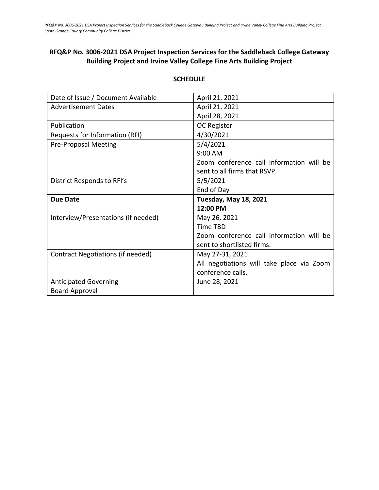# **RFQ&P No. 3006-2021 DSA Project Inspection Services for the Saddleback College Gateway Building Project and Irvine Valley College Fine Arts Building Project**

| Date of Issue / Document Available  | April 21, 2021                            |
|-------------------------------------|-------------------------------------------|
| <b>Advertisement Dates</b>          | April 21, 2021                            |
|                                     | April 28, 2021                            |
| Publication                         | OC Register                               |
| Requests for Information (RFI)      | 4/30/2021                                 |
| <b>Pre-Proposal Meeting</b>         | 5/4/2021                                  |
|                                     | 9:00 AM                                   |
|                                     | Zoom conference call information will be  |
|                                     | sent to all firms that RSVP.              |
| District Responds to RFI's          | 5/5/2021                                  |
|                                     | End of Day                                |
|                                     |                                           |
| <b>Due Date</b>                     | <b>Tuesday, May 18, 2021</b>              |
|                                     | 12:00 PM                                  |
| Interview/Presentations (if needed) | May 26, 2021                              |
|                                     | Time TBD                                  |
|                                     | Zoom conference call information will be  |
|                                     | sent to shortlisted firms.                |
| Contract Negotiations (if needed)   | May 27-31, 2021                           |
|                                     | All negotiations will take place via Zoom |
|                                     | conference calls.                         |
| <b>Anticipated Governing</b>        | June 28, 2021                             |

### **SCHEDULE**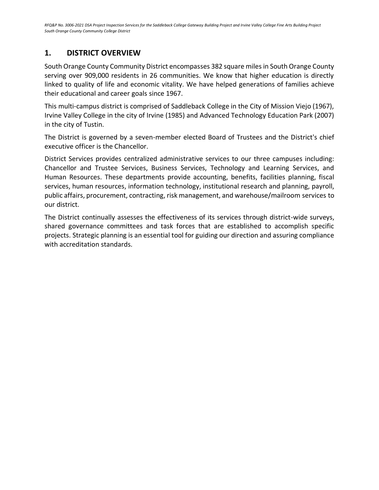# <span id="page-5-0"></span>**1. DISTRICT OVERVIEW**

South Orange County Community District encompasses 382 square miles in South Orange County serving over 909,000 residents in 26 communities. We know that higher education is directly linked to quality of life and economic vitality. We have helped generations of families achieve their educational and career goals since 1967.

This multi-campus district is comprised of Saddleback College in the City of Mission Viejo (1967), Irvine Valley College in the city of Irvine (1985) and Advanced Technology Education Park (2007) in the city of Tustin.

The District is governed by a seven-member elected Board of Trustees and the District's chief executive officer is the Chancellor.

District Services provides centralized administrative services to our three campuses including: Chancellor and Trustee Services, Business Services, Technology and Learning Services, and Human Resources. These departments provide accounting, benefits, facilities planning, fiscal services, human resources, information technology, institutional research and planning, payroll, public affairs, procurement, contracting, risk management, and warehouse/mailroom services to our district.

The District continually assesses the effectiveness of its services through district-wide surveys, shared governance committees and task forces that are established to accomplish specific projects. Strategic planning is an essential tool for guiding our direction and assuring compliance with accreditation standards.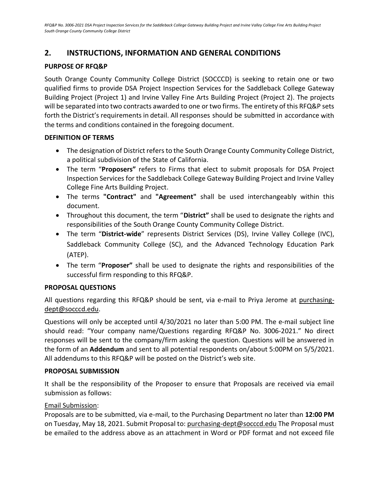# <span id="page-6-0"></span>**2. INSTRUCTIONS, INFORMATION AND GENERAL CONDITIONS**

### <span id="page-6-1"></span>**PURPOSE OF RFQ&P**

South Orange County Community College District (SOCCCD) is seeking to retain one or two qualified firms to provide DSA Project Inspection Services for the Saddleback College Gateway Building Project (Project 1) and Irvine Valley Fine Arts Building Project (Project 2). The projects will be separated into two contracts awarded to one or two firms. The entirety of this RFQ&P sets forth the District's requirements in detail. All responses should be submitted in accordance with the terms and conditions contained in the foregoing document.

### <span id="page-6-2"></span>**DEFINITION OF TERMS**

- The designation of District refers to the South Orange County Community College District, a political subdivision of the State of California.
- The term "**Proposers"** refers to Firms that elect to submit proposals for DSA Project Inspection Services for the Saddleback College Gateway Building Project and Irvine Valley College Fine Arts Building Project.
- The terms **"Contract"** and **"Agreement"** shall be used interchangeably within this document.
- Throughout this document, the term "**District"** shall be used to designate the rights and responsibilities of the South Orange County Community College District.
- The term "**District-wide**" represents District Services (DS), Irvine Valley College (IVC), Saddleback Community College (SC), and the Advanced Technology Education Park (ATEP).
- <span id="page-6-4"></span>• The term "**Proposer"** shall be used to designate the rights and responsibilities of the successful firm responding to this RFQ&P.

### <span id="page-6-3"></span>**PROPOSAL QUESTIONS**

All questions regarding this RFQ&P should be sent, via e-mail to Priya Jerome at purchasingdept@socccd.edu.

Questions will only be accepted until 4/30/2021 no later than 5:00 PM. The e-mail subject line should read: "Your company name/Questions regarding RFQ&P No. 3006-2021." No direct responses will be sent to the company/firm asking the question. Questions will be answered in the form of an **Addendum** and sent to all potential respondents on/about 5:00PM on 5/5/2021. All addendums to this RFQ&P will be posted on the District's web site.

### **PROPOSAL SUBMISSION**

It shall be the responsibility of the Proposer to ensure that Proposals are received via email submission as follows:

### Email Submission:

Proposals are to be submitted, via e-mail, to the Purchasing Department no later than **12:00 PM** on Tuesday, May 18, 2021. Submit Proposal to: [purchasing-dept@socccd.edu](mailto:purchasing-dept@socccd.edu) The Proposal must be emailed to the address above as an attachment in Word or PDF format and not exceed file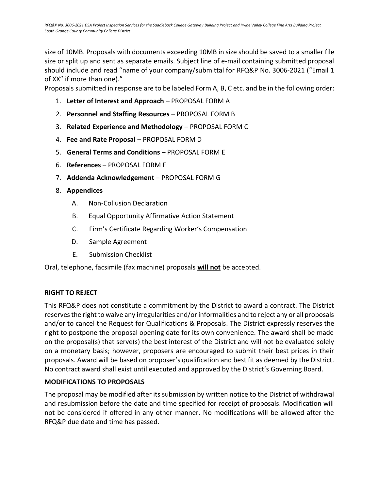size of 10MB. Proposals with documents exceeding 10MB in size should be saved to a smaller file size or split up and sent as separate emails. Subject line of e-mail containing submitted proposal should include and read "name of your company/submittal for RFQ&P No. 3006-2021 ("Email 1 of XX" if more than one)."

Proposals submitted in response are to be labeled Form A, B, C etc. and be in the following order:

- 1. **Letter of Interest and Approach** PROPOSAL FORM A
- 2. **Personnel and Staffing Resources** PROPOSAL FORM B
- 3. **Related Experience and Methodology** PROPOSAL FORM C
- 4. **Fee and Rate Proposal** PROPOSAL FORM D
- 5. **General Terms and Conditions** PROPOSAL FORM E
- 6. **References** PROPOSAL FORM F
- 7. **Addenda Acknowledgement** PROPOSAL FORM G
- 8. **Appendices**
	- A. Non-Collusion Declaration
	- B. Equal Opportunity Affirmative Action Statement
	- C. Firm's Certificate Regarding Worker's Compensation
	- D. Sample Agreement
	- E. Submission Checklist

<span id="page-7-0"></span>Oral, telephone, facsimile (fax machine) proposals **will not** be accepted.

### **RIGHT TO REJECT**

This RFQ&P does not constitute a commitment by the District to award a contract. The District reserves the right to waive any irregularities and/or informalities and to reject any or all proposals and/or to cancel the Request for Qualifications & Proposals. The District expressly reserves the right to postpone the proposal opening date for its own convenience. The award shall be made on the proposal(s) that serve(s) the best interest of the District and will not be evaluated solely on a monetary basis; however, proposers are encouraged to submit their best prices in their proposals. Award will be based on proposer's qualification and best fit as deemed by the District. No contract award shall exist until executed and approved by the District's Governing Board.

### <span id="page-7-1"></span>**MODIFICATIONS TO PROPOSALS**

The proposal may be modified after its submission by written notice to the District of withdrawal and resubmission before the date and time specified for receipt of proposals. Modification will not be considered if offered in any other manner. No modifications will be allowed after the RFQ&P due date and time has passed.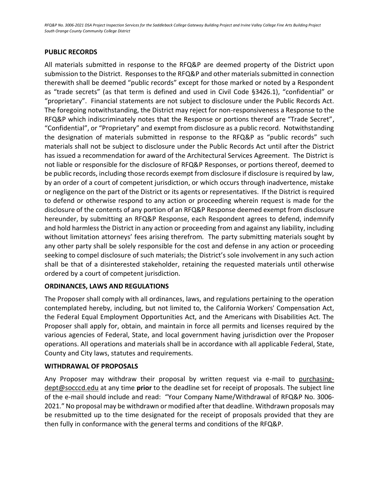### **PUBLIC RECORDS**

All materials submitted in response to the RFQ&P are deemed property of the District upon submission to the District. Responses to the RFQ&P and other materials submitted in connection therewith shall be deemed "public records" except for those marked or noted by a Respondent as "trade secrets" (as that term is defined and used in Civil Code §3426.1), "confidential" or "proprietary". Financial statements are not subject to disclosure under the Public Records Act. The foregoing notwithstanding, the District may reject for non-responsiveness a Response to the RFQ&P which indiscriminately notes that the Response or portions thereof are "Trade Secret", "Confidential", or "Proprietary" and exempt from disclosure as a public record. Notwithstanding the designation of materials submitted in response to the RFQ&P as "public records" such materials shall not be subject to disclosure under the Public Records Act until after the District has issued a recommendation for award of the Architectural Services Agreement. The District is not liable or responsible for the disclosure of RFQ&P Responses, or portions thereof, deemed to be public records, including those records exempt from disclosure if disclosure is required by law, by an order of a court of competent jurisdiction, or which occurs through inadvertence, mistake or negligence on the part of the District or its agents or representatives. If the District is required to defend or otherwise respond to any action or proceeding wherein request is made for the disclosure of the contents of any portion of an RFQ&P Response deemed exempt from disclosure hereunder, by submitting an RFQ&P Response, each Respondent agrees to defend, indemnify and hold harmless the District in any action or proceeding from and against any liability, including without limitation attorneys' fees arising therefrom. The party submitting materials sought by any other party shall be solely responsible for the cost and defense in any action or proceeding seeking to compel disclosure of such materials; the District's sole involvement in any such action shall be that of a disinterested stakeholder, retaining the requested materials until otherwise ordered by a court of competent jurisdiction.

### <span id="page-8-0"></span>**ORDINANCES, LAWS AND REGULATIONS**

The Proposer shall comply with all ordinances, laws, and regulations pertaining to the operation contemplated hereby, including, but not limited to, the California Workers' Compensation Act, the Federal Equal Employment Opportunities Act, and the Americans with Disabilities Act. The Proposer shall apply for, obtain, and maintain in force all permits and licenses required by the various agencies of Federal, State, and local government having jurisdiction over the Proposer operations. All operations and materials shall be in accordance with all applicable Federal, State, County and City laws, statutes and requirements.

### <span id="page-8-1"></span>**WITHDRAWAL OF PROPOSALS**

<span id="page-8-2"></span>Any Proposer may withdraw their proposal by written request via e-mail to purchasingdept@socccd.edu at any time **prior** to the deadline set for receipt of proposals. The subject line of the e-mail should include and read: "Your Company Name/Withdrawal of RFQ&P No. 3006- 2021." No proposal may be withdrawn or modified after that deadline. Withdrawn proposals may be resubmitted up to the time designated for the receipt of proposals provided that they are then fully in conformance with the general terms and conditions of the RFQ&P.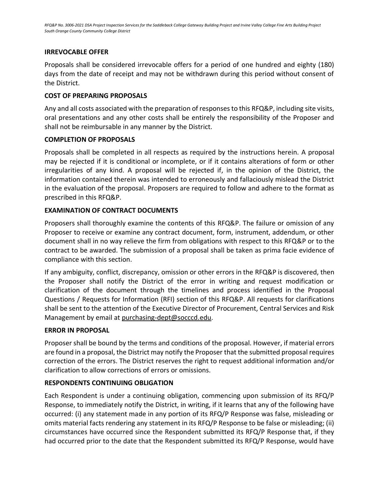### **IRREVOCABLE OFFER**

Proposals shall be considered irrevocable offers for a period of one hundred and eighty (180) days from the date of receipt and may not be withdrawn during this period without consent of the District.

### <span id="page-9-0"></span>**COST OF PREPARING PROPOSALS**

Any and all costs associated with the preparation of responses to this RFQ&P, including site visits, oral presentations and any other costs shall be entirely the responsibility of the Proposer and shall not be reimbursable in any manner by the District.

### **COMPLETION OF PROPOSALS**

Proposals shall be completed in all respects as required by the instructions herein. A proposal may be rejected if it is conditional or incomplete, or if it contains alterations of form or other irregularities of any kind. A proposal will be rejected if, in the opinion of the District, the information contained therein was intended to erroneously and fallaciously mislead the District in the evaluation of the proposal. Proposers are required to follow and adhere to the format as prescribed in this RFQ&P.

### **EXAMINATION OF CONTRACT DOCUMENTS**

Proposers shall thoroughly examine the contents of this RFQ&P. The failure or omission of any Proposer to receive or examine any contract document, form, instrument, addendum, or other document shall in no way relieve the firm from obligations with respect to this RFQ&P or to the contract to be awarded. The submission of a proposal shall be taken as prima facie evidence of compliance with this section.

If any ambiguity, conflict, discrepancy, omission or other errors in the RFQ&P is discovered, then the Proposer shall notify the District of the error in writing and request modification or clarification of the document through the timelines and process identified in the Proposal Questions / Requests for Information (RFI) section of this RFQ&P. All requests for clarifications shall be sent to the attention of the Executive Director of Procurement, Central Services and Risk Management by email a[t purchasing-dept@socccd.edu.](mailto:purchasing-dept@socccd.edu)

### **ERROR IN PROPOSAL**

Proposer shall be bound by the terms and conditions of the proposal. However, if material errors are found in a proposal, the District may notify the Proposer that the submitted proposal requires correction of the errors. The District reserves the right to request additional information and/or clarification to allow corrections of errors or omissions.

### **RESPONDENTS CONTINUING OBLIGATION**

Each Respondent is under a continuing obligation, commencing upon submission of its RFQ/P Response, to immediately notify the District, in writing, if it learns that any of the following have occurred: (i) any statement made in any portion of its RFQ/P Response was false, misleading or omits material facts rendering any statement in its RFQ/P Response to be false or misleading; (ii) circumstances have occurred since the Respondent submitted its RFQ/P Response that, if they had occurred prior to the date that the Respondent submitted its RFQ/P Response, would have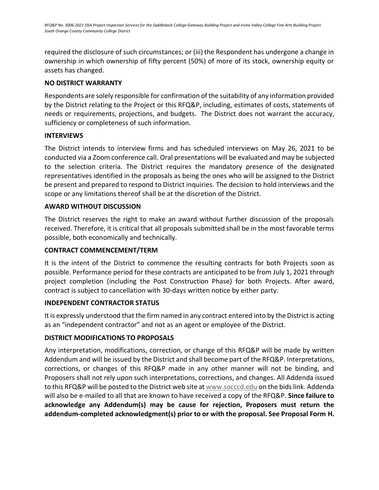required the disclosure of such circumstances; or (iii) the Respondent has undergone a change in ownership in which ownership of fifty percent (50%) of more of its stock, ownership equity or assets has changed.

### **NO DISTRICT WARRANTY**

Respondents are solely responsible for confirmation of the suitability of any information provided by the District relating to the Project or this RFQ&P, including, estimates of costs, statements of needs or requirements, projections, and budgets. The District does not warrant the accuracy, sufficiency or completeness of such information.

### <span id="page-10-0"></span>**INTERVIEWS**

The District intends to interview firms and has scheduled interviews on May 26, 2021 to be conducted via a Zoom conference call. Oral presentations will be evaluated and may be subjected to the selection criteria. The District requires the mandatory presence of the designated representatives identified in the proposals as being the ones who will be assigned to the District be present and prepared to respond to District inquiries. The decision to hold interviews and the scope or any limitations thereof shall be at the discretion of the District.

### <span id="page-10-1"></span>**AWARD WITHOUT DISCUSSION**

The District reserves the right to make an award without further discussion of the proposals received. Therefore, it is critical that all proposals submitted shall be in the most favorable terms possible, both economically and technically.

### <span id="page-10-2"></span>**CONTRACT COMMENCEMENT/TERM**

It is the intent of the District to commence the resulting contracts for both Projects soon as possible. Performance period for these contracts are anticipated to be from July 1, 2021 through project completion (including the Post Construction Phase) for both Projects. After award, contract is subject to cancellation with 30-days written notice by either party.

### **INDEPENDENT CONTRACTOR STATUS**

It is expressly understood that the firm named in any contract entered into by the District is acting as an "independent contractor" and not as an agent or employee of the District.

### <span id="page-10-3"></span>**DISTRICT MODIFICATIONS TO PROPOSALS**

<span id="page-10-4"></span>Any interpretation, modifications, correction, or change of this RFQ&P will be made by written Addendum and will be issued by the District and shall become part of the RFQ&P. Interpretations, corrections, or changes of this RFQ&P made in any other manner will not be binding, and Proposers shall not rely upon such interpretations, corrections, and changes. All Addenda issued to this RFQ&P will be posted to the District web site at [www.socccd.edu](http://www.socccd.edu/) on the bids link. Addenda will also be e-mailed to all that are known to have received a copy of the RFQ&P. **Since failure to acknowledge any Addendum(s) may be cause for rejection, Proposers must return the addendum-completed acknowledgment(s) prior to or with the proposal. See Proposal Form H.**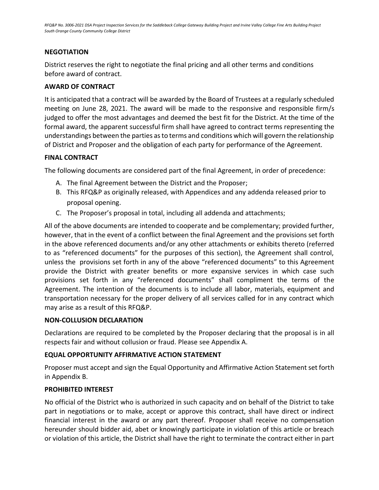### **NEGOTIATION**

<span id="page-11-0"></span>District reserves the right to negotiate the final pricing and all other terms and conditions before award of contract.

### **AWARD OF CONTRACT**

It is anticipated that a contract will be awarded by the Board of Trustees at a regularly scheduled meeting on June 28, 2021. The award will be made to the responsive and responsible firm/s judged to offer the most advantages and deemed the best fit for the District. At the time of the formal award, the apparent successful firm shall have agreed to contract terms representing the understandings between the parties as to terms and conditions which will govern the relationship of District and Proposer and the obligation of each party for performance of the Agreement.

### <span id="page-11-1"></span>**FINAL CONTRACT**

The following documents are considered part of the final Agreement, in order of precedence:

- A. The final Agreement between the District and the Proposer;
- B. This RFQ&P as originally released, with Appendices and any addenda released prior to proposal opening.
- C. The Proposer's proposal in total, including all addenda and attachments;

All of the above documents are intended to cooperate and be complementary; provided further, however, that in the event of a conflict between the final Agreement and the provisions set forth in the above referenced documents and/or any other attachments or exhibits thereto (referred to as "referenced documents" for the purposes of this section), the Agreement shall control, unless the provisions set forth in any of the above "referenced documents" to this Agreement provide the District with greater benefits or more expansive services in which case such provisions set forth in any "referenced documents" shall compliment the terms of the Agreement. The intention of the documents is to include all labor, materials, equipment and transportation necessary for the proper delivery of all services called for in any contract which may arise as a result of this RFQ&P.

### **NON-COLLUSION DECLARATION**

Declarations are required to be completed by the Proposer declaring that the proposal is in all respects fair and without collusion or fraud. Please see Appendix A.

### <span id="page-11-2"></span>**EQUAL OPPORTUNITY AFFIRMATIVE ACTION STATEMENT**

Proposer must accept and sign the Equal Opportunity and Affirmative Action Statement set forth in Appendix B.

### <span id="page-11-3"></span>**PROHIBITED INTEREST**

No official of the District who is authorized in such capacity and on behalf of the District to take part in negotiations or to make, accept or approve this contract, shall have direct or indirect financial interest in the award or any part thereof. Proposer shall receive no compensation hereunder should bidder aid, abet or knowingly participate in violation of this article or breach or violation of this article, the District shall have the right to terminate the contract either in part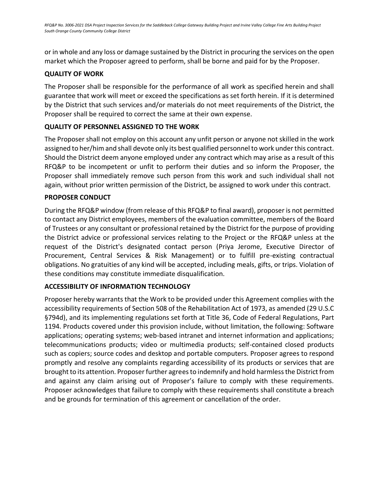or in whole and any loss or damage sustained by the District in procuring the services on the open market which the Proposer agreed to perform, shall be borne and paid for by the Proposer.

### <span id="page-12-0"></span>**QUALITY OF WORK**

The Proposer shall be responsible for the performance of all work as specified herein and shall guarantee that work will meet or exceed the specifications as set forth herein. If it is determined by the District that such services and/or materials do not meet requirements of the District, the Proposer shall be required to correct the same at their own expense.

### <span id="page-12-1"></span>**QUALITY OF PERSONNEL ASSIGNED TO THE WORK**

<span id="page-12-2"></span>The Proposer shall not employ on this account any unfit person or anyone not skilled in the work assigned to her/him and shall devote only its best qualified personnel to work under this contract. Should the District deem anyone employed under any contract which may arise as a result of this RFQ&P to be incompetent or unfit to perform their duties and so inform the Proposer, the Proposer shall immediately remove such person from this work and such individual shall not again, without prior written permission of the District, be assigned to work under this contract.

### **PROPOSER CONDUCT**

<span id="page-12-3"></span>During the RFQ&P window (from release of this RFQ&P to final award), proposer is not permitted to contact any District employees, members of the evaluation committee, members of the Board of Trustees or any consultant or professional retained by the District for the purpose of providing the District advice or professional services relating to the Project or the RFQ&P unless at the request of the District's designated contact person (Priya Jerome, Executive Director of Procurement, Central Services & Risk Management) or to fulfill pre-existing contractual obligations. No gratuities of any kind will be accepted, including meals, gifts, or trips. Violation of these conditions may constitute immediate disqualification.

### **ACCESSIBILITY OF INFORMATION TECHNOLOGY**

Proposer hereby warrants that the Work to be provided under this Agreement complies with the accessibility requirements of Section 508 of the Rehabilitation Act of 1973, as amended (29 U.S.C §794d), and its implementing regulations set forth at Title 36, Code of Federal Regulations, Part 1194. Products covered under this provision include, without limitation, the following: Software applications; operating systems; web-based intranet and internet information and applications; telecommunications products; video or multimedia products; self-contained closed products such as copiers; source codes and desktop and portable computers. Proposer agrees to respond promptly and resolve any complaints regarding accessibility of its products or services that are brought to its attention. Proposer further agrees to indemnify and hold harmless the District from and against any claim arising out of Proposer's failure to comply with these requirements. Proposer acknowledges that failure to comply with these requirements shall constitute a breach and be grounds for termination of this agreement or cancellation of the order.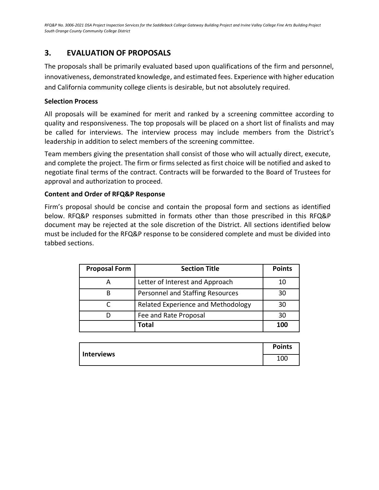# **3. EVALUATION OF PROPOSALS**

The proposals shall be primarily evaluated based upon qualifications of the firm and personnel, innovativeness, demonstrated knowledge, and estimated fees. Experience with higher education and California community college clients is desirable, but not absolutely required.

### **Selection Process**

All proposals will be examined for merit and ranked by a screening committee according to quality and responsiveness. The top proposals will be placed on a short list of finalists and may be called for interviews. The interview process may include members from the District's leadership in addition to select members of the screening committee.

Team members giving the presentation shall consist of those who will actually direct, execute, and complete the project. The firm or firms selected as first choice will be notified and asked to negotiate final terms of the contract. Contracts will be forwarded to the Board of Trustees for approval and authorization to proceed.

### **Content and Order of RFQ&P Response**

Firm's proposal should be concise and contain the proposal form and sections as identified below. RFQ&P responses submitted in formats other than those prescribed in this RFQ&P document may be rejected at the sole discretion of the District. All sections identified below must be included for the RFQ&P response to be considered complete and must be divided into tabbed sections.

| <b>Proposal Form</b> | <b>Section Title</b>               | <b>Points</b> |
|----------------------|------------------------------------|---------------|
|                      | Letter of Interest and Approach    | 10            |
|                      | Personnel and Staffing Resources   | 30            |
|                      | Related Experience and Methodology | 30            |
|                      | Fee and Rate Proposal              | 30            |
|                      | <b>Total</b>                       | 100           |

| Interviews | <b>Points</b> |
|------------|---------------|
|            | 100           |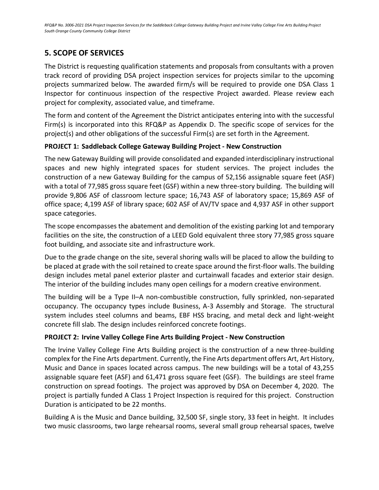# <span id="page-14-0"></span>**5. SCOPE OF SERVICES**

The District is requesting qualification statements and proposals from consultants with a proven track record of providing DSA project inspection services for projects similar to the upcoming projects summarized below. The awarded firm/s will be required to provide one DSA Class 1 Inspector for continuous inspection of the respective Project awarded. Please review each project for complexity, associated value, and timeframe.

The form and content of the Agreement the District anticipates entering into with the successful Firm(s) is incorporated into this RFQ&P as Appendix D. The specific scope of services for the project(s) and other obligations of the successful Firm(s) are set forth in the Agreement.

### **PROJECT 1: Saddleback College Gateway Building Project - New Construction**

The new Gateway Building will provide consolidated and expanded interdisciplinary instructional spaces and new highly integrated spaces for student services. The project includes the construction of a new Gateway Building for the campus of 52,156 assignable square feet (ASF) with a total of 77,985 gross square feet (GSF) within a new three-story building. The building will provide 9,806 ASF of classroom lecture space; 16,743 ASF of laboratory space; 15,869 ASF of office space; 4,199 ASF of library space; 602 ASF of AV/TV space and 4,937 ASF in other support space categories.

The scope encompasses the abatement and demolition of the existing parking lot and temporary facilities on the site, the construction of a LEED Gold equivalent three story 77,985 gross square foot building, and associate site and infrastructure work.

Due to the grade change on the site, several shoring walls will be placed to allow the building to be placed at grade with the soil retained to create space around the first-floor walls. The building design includes metal panel exterior plaster and curtainwall facades and exterior stair design. The interior of the building includes many open ceilings for a modern creative environment.

The building will be a Type II–A non-combustible construction, fully sprinkled, non-separated occupancy. The occupancy types include Business, A-3 Assembly and Storage. The structural system includes steel columns and beams, EBF HSS bracing, and metal deck and light-weight concrete fill slab. The design includes reinforced concrete footings.

## **PROJECT 2: Irvine Valley College Fine Arts Building Project - New Construction**

The Irvine Valley College Fine Arts Building project is the construction of a new three-building complex for the Fine Arts department. Currently, the Fine Arts department offers Art, Art History, Music and Dance in spaces located across campus. The new buildings will be a total of 43,255 assignable square feet (ASF) and 61,471 gross square feet (GSF). The buildings are steel frame construction on spread footings. The project was approved by DSA on December 4, 2020. The project is partially funded A Class 1 Project Inspection is required for this project. Construction Duration is anticipated to be 22 months.

Building A is the Music and Dance building, 32,500 SF, single story, 33 feet in height. It includes two music classrooms, two large rehearsal rooms, several small group rehearsal spaces, twelve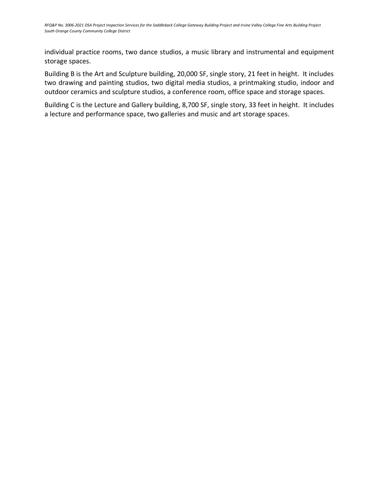individual practice rooms, two dance studios, a music library and instrumental and equipment storage spaces.

Building B is the Art and Sculpture building, 20,000 SF, single story, 21 feet in height. It includes two drawing and painting studios, two digital media studios, a printmaking studio, indoor and outdoor ceramics and sculpture studios, a conference room, office space and storage spaces.

Building C is the Lecture and Gallery building, 8,700 SF, single story, 33 feet in height. It includes a lecture and performance space, two galleries and music and art storage spaces.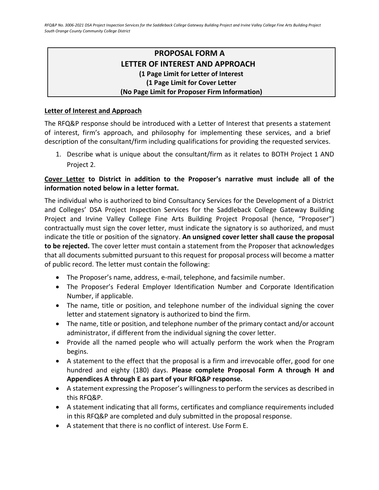# **PROPOSAL FORM A LETTER OF INTEREST AND APPROACH (1 Page Limit for Letter of Interest (1 Page Limit for Cover Letter (No Page Limit for Proposer Firm Information)**

### <span id="page-16-0"></span>**Letter of Interest and Approach**

The RFQ&P response should be introduced with a Letter of Interest that presents a statement of interest, firm's approach, and philosophy for implementing these services, and a brief description of the consultant/firm including qualifications for providing the requested services.

1. Describe what is unique about the consultant/firm as it relates to BOTH Project 1 AND Project 2.

### **Cover Letter to District in addition to the Proposer's narrative must include all of the information noted below in a letter format.**

The individual who is authorized to bind Consultancy Services for the Development of a District and Colleges' DSA Project Inspection Services for the Saddleback College Gateway Building Project and Irvine Valley College Fine Arts Building Project Proposal (hence, "Proposer") contractually must sign the cover letter, must indicate the signatory is so authorized, and must indicate the title or position of the signatory. **An unsigned cover letter shall cause the proposal to be rejected.** The cover letter must contain a statement from the Proposer that acknowledges that all documents submitted pursuant to this request for proposal process will become a matter of public record. The letter must contain the following:

- The Proposer's name, address, e-mail, telephone, and facsimile number.
- The Proposer's Federal Employer Identification Number and Corporate Identification Number, if applicable.
- The name, title or position, and telephone number of the individual signing the cover letter and statement signatory is authorized to bind the firm.
- The name, title or position, and telephone number of the primary contact and/or account administrator, if different from the individual signing the cover letter.
- Provide all the named people who will actually perform the work when the Program begins.
- A statement to the effect that the proposal is a firm and irrevocable offer, good for one hundred and eighty (180) days. **Please complete Proposal Form A through H and Appendices A through E as part of your RFQ&P response.**
- A statement expressing the Proposer's willingness to perform the services as described in this RFQ&P.
- A statement indicating that all forms, certificates and compliance requirements included in this RFQ&P are completed and duly submitted in the proposal response.
- A statement that there is no conflict of interest. Use Form E.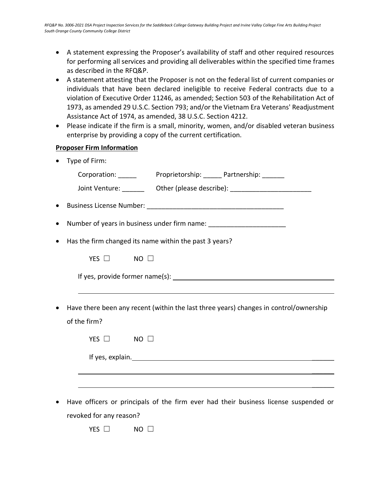- A statement expressing the Proposer's availability of staff and other required resources for performing all services and providing all deliverables within the specified time frames as described in the RFQ&P.
- A statement attesting that the Proposer is not on the federal list of current companies or individuals that have been declared ineligible to receive Federal contracts due to a violation of Executive Order 11246, as amended; Section 503 of the Rehabilitation Act of 1973, as amended 29 U.S.C. Section 793; and/or the Vietnam Era Veterans' Readjustment Assistance Act of 1974, as amended, 38 U.S.C. Section 4212.
- Please indicate if the firm is a small, minority, women, and/or disabled veteran business enterprise by providing a copy of the current certification.

### **Proposer Firm Information**

• Type of Firm:

|           |                                                                                  | Joint Venture: __________ Other (please describe): _____________________________      |
|-----------|----------------------------------------------------------------------------------|---------------------------------------------------------------------------------------|
|           |                                                                                  |                                                                                       |
| $\bullet$ | Number of years in business under firm name: ___________________________________ |                                                                                       |
| ٠         | Has the firm changed its name within the past 3 years?                           |                                                                                       |
|           | YES $\Box$ NO $\Box$                                                             |                                                                                       |
|           |                                                                                  |                                                                                       |
| $\bullet$ | of the firm?                                                                     | Have there been any recent (within the last three years) changes in control/ownership |
|           | YES $\Box$<br>$\blacksquare$ NO $\blacksquare$                                   |                                                                                       |
|           |                                                                                  |                                                                                       |
|           |                                                                                  |                                                                                       |

• Have officers or principals of the firm ever had their business license suspended or revoked for any reason?

 $\overline{\phantom{a}}$ 

YES □ NO □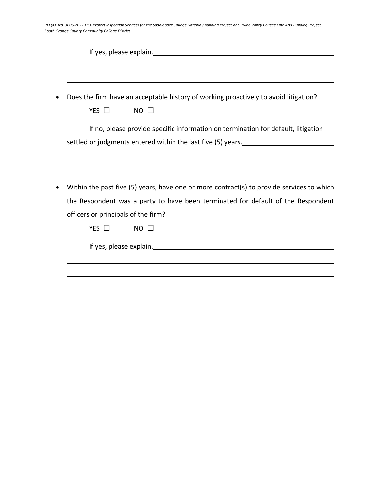|            | Does the firm have an acceptable history of working proactively to avoid litigation?                                                                                                                                           |
|------------|--------------------------------------------------------------------------------------------------------------------------------------------------------------------------------------------------------------------------------|
| YES $\Box$ | $NO$ $\square$                                                                                                                                                                                                                 |
|            | If no, please provide specific information on termination for default, litigation                                                                                                                                              |
|            | settled or judgments entered within the last five (5) years.                                                                                                                                                                   |
|            |                                                                                                                                                                                                                                |
|            | Within the past five (5) years, have one or more contract(s) to provide services to which                                                                                                                                      |
|            | the Respondent was a party to have been terminated for default of the Respondent                                                                                                                                               |
|            | officers or principals of the firm?                                                                                                                                                                                            |
| YES $\Box$ | $NO$ $\Box$                                                                                                                                                                                                                    |
|            |                                                                                                                                                                                                                                |
|            | If yes, please explain. The manufacturer of the state of the state of the state of the state of the state of the state of the state of the state of the state of the state of the state of the state of the state of the state |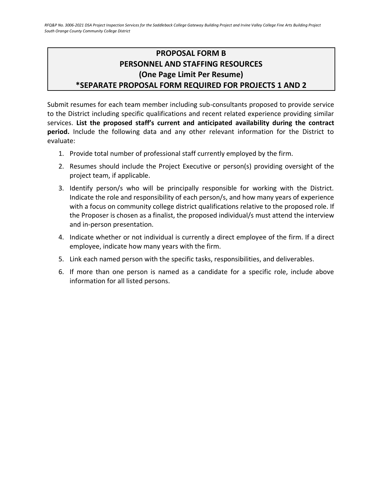# <span id="page-19-0"></span>**PROPOSAL FORM B PERSONNEL AND STAFFING RESOURCES (One Page Limit Per Resume) \*SEPARATE PROPOSAL FORM REQUIRED FOR PROJECTS 1 AND 2**

Submit resumes for each team member including sub-consultants proposed to provide service to the District including specific qualifications and recent related experience providing similar services. **List the proposed staff's current and anticipated availability during the contract period.** Include the following data and any other relevant information for the District to evaluate:

- 1. Provide total number of professional staff currently employed by the firm.
- 2. Resumes should include the Project Executive or person(s) providing oversight of the project team, if applicable.
- 3. Identify person/s who will be principally responsible for working with the District. Indicate the role and responsibility of each person/s, and how many years of experience with a focus on community college district qualifications relative to the proposed role. If the Proposer is chosen as a finalist, the proposed individual/s must attend the interview and in-person presentation.
- 4. Indicate whether or not individual is currently a direct employee of the firm. If a direct employee, indicate how many years with the firm.
- 5. Link each named person with the specific tasks, responsibilities, and deliverables.
- 6. If more than one person is named as a candidate for a specific role, include above information for all listed persons.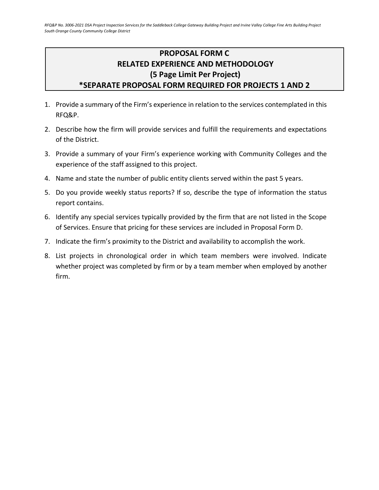# <span id="page-20-0"></span>**PROPOSAL FORM C RELATED EXPERIENCE AND METHODOLOGY (5 Page Limit Per Project) \*SEPARATE PROPOSAL FORM REQUIRED FOR PROJECTS 1 AND 2**

- 1. Provide a summary of the Firm's experience in relation to the services contemplated in this RFQ&P.
- 2. Describe how the firm will provide services and fulfill the requirements and expectations of the District.
- 3. Provide a summary of your Firm's experience working with Community Colleges and the experience of the staff assigned to this project.
- 4. Name and state the number of public entity clients served within the past 5 years.
- 5. Do you provide weekly status reports? If so, describe the type of information the status report contains.
- 6. Identify any special services typically provided by the firm that are not listed in the Scope of Services. Ensure that pricing for these services are included in Proposal Form D.
- 7. Indicate the firm's proximity to the District and availability to accomplish the work.
- 8. List projects in chronological order in which team members were involved. Indicate whether project was completed by firm or by a team member when employed by another firm.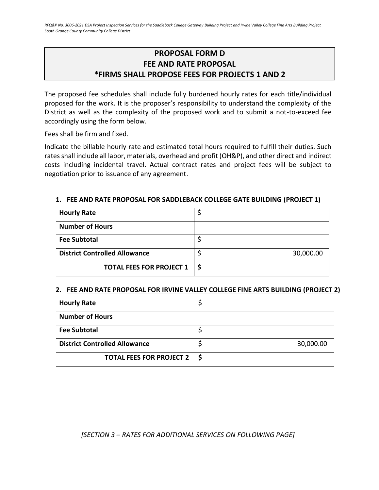# **PROPOSAL FORM D FEE AND RATE PROPOSAL \*FIRMS SHALL PROPOSE FEES FOR PROJECTS 1 AND 2**

<span id="page-21-0"></span>The proposed fee schedules shall include fully burdened hourly rates for each title/individual proposed for the work. It is the proposer's responsibility to understand the complexity of the District as well as the complexity of the proposed work and to submit a not-to-exceed fee accordingly using the form below.

Fees shall be firm and fixed.

Indicate the billable hourly rate and estimated total hours required to fulfill their duties. Such rates shall include all labor, materials, overhead and profit (OH&P), and other direct and indirect costs including incidental travel. Actual contract rates and project fees will be subject to negotiation prior to issuance of any agreement.

### **1. FEE AND RATE PROPOSAL FOR SADDLEBACK COLLEGE GATE BUILDING (PROJECT 1)**

| <b>Hourly Rate</b>                   |           |
|--------------------------------------|-----------|
| <b>Number of Hours</b>               |           |
| <b>Fee Subtotal</b>                  |           |
| <b>District Controlled Allowance</b> | 30,000.00 |
| <b>TOTAL FEES FOR PROJECT 1</b>      | \$        |

### **2. FEE AND RATE PROPOSAL FOR IRVINE VALLEY COLLEGE FINE ARTS BUILDING (PROJECT 2)**

| <b>Hourly Rate</b>                   |           |
|--------------------------------------|-----------|
| <b>Number of Hours</b>               |           |
| <b>Fee Subtotal</b>                  |           |
| <b>District Controlled Allowance</b> | 30,000.00 |
| <b>TOTAL FEES FOR PROJECT 2</b>      |           |

*[SECTION 3 – RATES FOR ADDITIONAL SERVICES ON FOLLOWING PAGE]*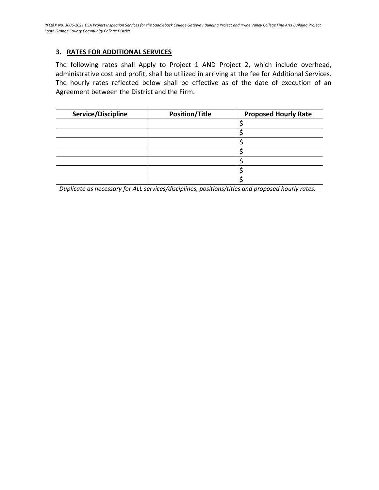### **3. RATES FOR ADDITIONAL SERVICES**

The following rates shall Apply to Project 1 AND Project 2, which include overhead, administrative cost and profit, shall be utilized in arriving at the fee for Additional Services. The hourly rates reflected below shall be effective as of the date of execution of an Agreement between the District and the Firm.

| Service/Discipline                                                                                | <b>Position/Title</b> | <b>Proposed Hourly Rate</b> |
|---------------------------------------------------------------------------------------------------|-----------------------|-----------------------------|
|                                                                                                   |                       |                             |
|                                                                                                   |                       |                             |
|                                                                                                   |                       |                             |
|                                                                                                   |                       |                             |
|                                                                                                   |                       |                             |
|                                                                                                   |                       |                             |
|                                                                                                   |                       |                             |
| Duplicate as necessary for ALL convises (discuplines, nesitions (titles and proposed bought rates |                       |                             |

*Duplicate as necessary for ALL services/disciplines, positions/titles and proposed hourly rates.*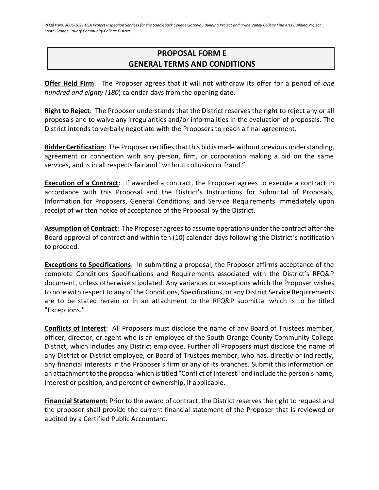# <span id="page-23-0"></span>**PROPOSAL FORM E GENERAL TERMS AND CONDITIONS**

**Offer Held Firm**: The Proposer agrees that it will not withdraw its offer for a period of *one hundred and eighty (180*) calendar days from the opening date.

**Right to Reject**: The Proposer understands that the District reserves the right to reject any or all proposals and to waive any irregularities and/or informalities in the evaluation of proposals. The District intends to verbally negotiate with the Proposers to reach a final agreement.

**Bidder Certification**: The Proposer certifies that this bid is made without previous understanding, agreement or connection with any person, firm, or corporation making a bid on the same services, and is in all respects fair and "without collusion or fraud."

**Execution of a Contract**: If awarded a contract, the Proposer agrees to execute a contract in accordance with this Proposal and the District's Instructions for Submittal of Proposals, Information for Proposers, General Conditions, and Service Requirements immediately upon receipt of written notice of acceptance of the Proposal by the District.

**Assumption of Contract**: The Proposer agrees to assume operations under the contract after the Board approval of contract and within ten (10) calendar days following the District's notification to proceed.

**Exceptions to Specifications**: In submitting a proposal, the Proposer affirms acceptance of the complete Conditions Specifications and Requirements associated with the District's RFQ&P document, unless otherwise stipulated. Any variances or exceptions which the Proposer wishes to note with respect to any of the Conditions, Specifications, or any District Service Requirements are to be stated herein or in an attachment to the RFQ&P submittal which is to be titled "Exceptions."

**Conflicts of Interest**: All Proposers must disclose the name of any Board of Trustees member, officer, director, or agent who is an employee of the South Orange County Community College District, which includes any District employee. Further all Proposers must disclose the name of any District or District employee, or Board of Trustees member, who has, directly or indirectly, any financial interests in the Proposer's firm or any of its branches. Submit this information on an attachment to the proposal which is titled "Conflict of Interest" and include the person's name, interest or position, and percent of ownership, if applicable**.**

**Financial Statement:** Prior to the award of contract, the District reserves the right to request and the proposer shall provide the current financial statement of the Proposer that is reviewed or audited by a Certified Public Accountant.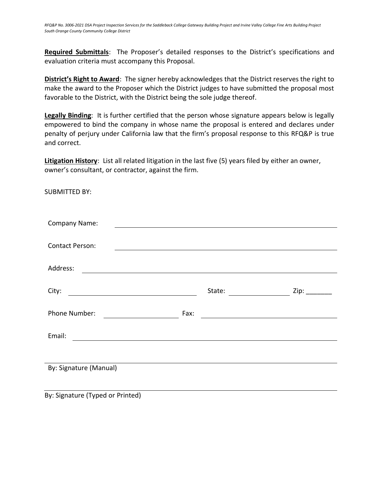**Required Submittals**: The Proposer's detailed responses to the District's specifications and evaluation criteria must accompany this Proposal.

**District's Right to Award**: The signer hereby acknowledges that the District reserves the right to make the award to the Proposer which the District judges to have submitted the proposal most favorable to the District, with the District being the sole judge thereof.

**Legally Binding**: It is further certified that the person whose signature appears below is legally empowered to bind the company in whose name the proposal is entered and declares under penalty of perjury under California law that the firm's proposal response to this RFQ&P is true and correct.

**Litigation History**: List all related litigation in the last five (5) years filed by either an owner, owner's consultant, or contractor, against the firm.

SUBMITTED BY:

| <b>Company Name:</b>                                                  |        |      |  |  |  |
|-----------------------------------------------------------------------|--------|------|--|--|--|
|                                                                       |        |      |  |  |  |
| <b>Contact Person:</b>                                                |        |      |  |  |  |
|                                                                       |        |      |  |  |  |
| Address:                                                              |        |      |  |  |  |
|                                                                       |        |      |  |  |  |
| City:                                                                 | State: | Zip: |  |  |  |
|                                                                       |        |      |  |  |  |
| Phone Number:                                                         | Fax:   |      |  |  |  |
|                                                                       |        |      |  |  |  |
| Email:<br><u> 1989 - Johann Stein, mars an de Francisco (f. 1989)</u> |        |      |  |  |  |
|                                                                       |        |      |  |  |  |
|                                                                       |        |      |  |  |  |
|                                                                       |        |      |  |  |  |
|                                                                       |        |      |  |  |  |
| By: Signature (Manual)                                                |        |      |  |  |  |

By: Signature (Typed or Printed)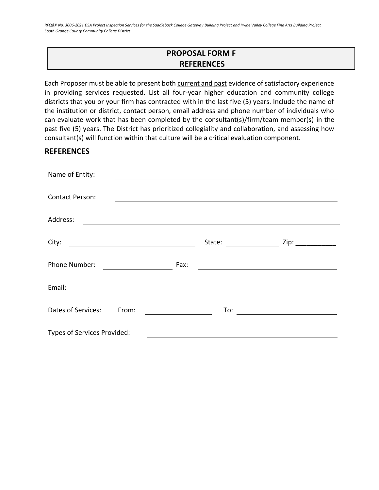# **PROPOSAL FORM F REFERENCES**

<span id="page-25-0"></span>Each Proposer must be able to present both current and past evidence of satisfactory experience in providing services requested. List all four-year higher education and community college districts that you or your firm has contracted with in the last five (5) years. Include the name of the institution or district, contact person, email address and phone number of individuals who can evaluate work that has been completed by the consultant(s)/firm/team member(s) in the past five (5) years. The District has prioritized collegiality and collaboration, and assessing how consultant(s) will function within that culture will be a critical evaluation component.

### **REFERENCES**

| Name of Entity:             |        |                                                           |
|-----------------------------|--------|-----------------------------------------------------------|
|                             |        |                                                           |
| <b>Contact Person:</b>      |        |                                                           |
| Address:                    |        |                                                           |
| City:                       | State: | Zip: _____________                                        |
|                             |        |                                                           |
| Phone Number:               | Fax:   |                                                           |
| Email:                      |        |                                                           |
| Dates of Services:<br>From: | To:    | <u> 1980 - Andrea Station Books, amerikansk politik (</u> |
| Types of Services Provided: |        |                                                           |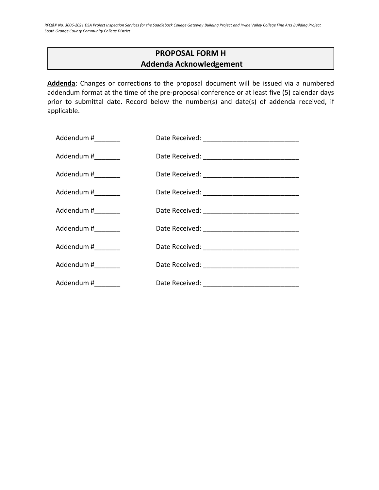# **PROPOSAL FORM H Addenda Acknowledgement**

<span id="page-26-0"></span>**Addenda**: Changes or corrections to the proposal document will be issued via a numbered addendum format at the time of the pre-proposal conference or at least five (5) calendar days prior to submittal date. Record below the number(s) and date(s) of addenda received, if applicable.

| Addendum #________  |  |
|---------------------|--|
| Addendum #_________ |  |
| Addendum #_________ |  |
| Addendum #_________ |  |
| Addendum #          |  |
| Addendum #_________ |  |
| Addendum #_________ |  |
| Addendum #________  |  |
| Addendum #_________ |  |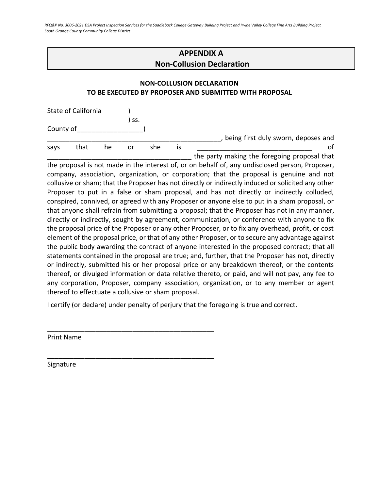# **APPENDIX A Non-Collusion Declaration**

### <span id="page-27-0"></span>**NON-COLLUSION DECLARATION TO BE EXECUTED BY PROPOSER AND SUBMITTED WITH PROPOSAL**

|           | State of California |    |     |     |    |                                              |
|-----------|---------------------|----|-----|-----|----|----------------------------------------------|
|           |                     |    | SS. |     |    |                                              |
| County of |                     |    |     |     |    |                                              |
|           |                     |    |     |     |    | being first duly sworn, deposes and          |
| savs      | that                | he | or  | she | 1S |                                              |
|           |                     |    |     |     |    | the party making the foregoing proposal that |

the proposal is not made in the interest of, or on behalf of, any undisclosed person, Proposer, company, association, organization, or corporation; that the proposal is genuine and not collusive or sham; that the Proposer has not directly or indirectly induced or solicited any other Proposer to put in a false or sham proposal, and has not directly or indirectly colluded, conspired, connived, or agreed with any Proposer or anyone else to put in a sham proposal, or that anyone shall refrain from submitting a proposal; that the Proposer has not in any manner, directly or indirectly, sought by agreement, communication, or conference with anyone to fix the proposal price of the Proposer or any other Proposer, or to fix any overhead, profit, or cost element of the proposal price, or that of any other Proposer, or to secure any advantage against the public body awarding the contract of anyone interested in the proposed contract; that all statements contained in the proposal are true; and, further, that the Proposer has not, directly or indirectly, submitted his or her proposal price or any breakdown thereof, or the contents thereof, or divulged information or data relative thereto, or paid, and will not pay, any fee to any corporation, Proposer, company association, organization, or to any member or agent thereof to effectuate a collusive or sham proposal.

I certify (or declare) under penalty of perjury that the foregoing is true and correct.

\_\_\_\_\_\_\_\_\_\_\_\_\_\_\_\_\_\_\_\_\_\_\_\_\_\_\_\_\_\_\_\_\_\_\_\_\_\_\_\_\_\_\_\_\_

\_\_\_\_\_\_\_\_\_\_\_\_\_\_\_\_\_\_\_\_\_\_\_\_\_\_\_\_\_\_\_\_\_\_\_\_\_\_\_\_\_\_\_\_\_

Print Name

Signature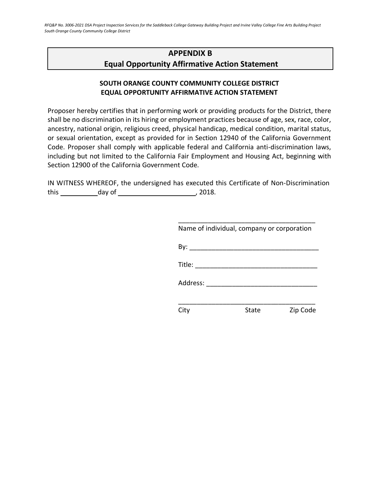# <span id="page-28-0"></span>**APPENDIX B Equal Opportunity Affirmative Action Statement**

### **SOUTH ORANGE COUNTY COMMUNITY COLLEGE DISTRICT EQUAL OPPORTUNITY AFFIRMATIVE ACTION STATEMENT**

Proposer hereby certifies that in performing work or providing products for the District, there shall be no discrimination in its hiring or employment practices because of age, sex, race, color, ancestry, national origin, religious creed, physical handicap, medical condition, marital status, or sexual orientation, except as provided for in Section 12940 of the California Government Code. Proposer shall comply with applicable federal and California anti-discrimination laws, including but not limited to the California Fair Employment and Housing Act, beginning with Section 12900 of the California Government Code.

IN WITNESS WHEREOF, the undersigned has executed this Certificate of Non-Discrimination this day of , 2018.

| Name of individual, company or corporation                                                                                                                                                                                                                                                                                                                                                                   |       |          |
|--------------------------------------------------------------------------------------------------------------------------------------------------------------------------------------------------------------------------------------------------------------------------------------------------------------------------------------------------------------------------------------------------------------|-------|----------|
|                                                                                                                                                                                                                                                                                                                                                                                                              |       |          |
| Title: $\frac{1}{\sqrt{1-\frac{1}{2}}\sqrt{1-\frac{1}{2}}\sqrt{1-\frac{1}{2}}\sqrt{1-\frac{1}{2}}\sqrt{1-\frac{1}{2}}\sqrt{1-\frac{1}{2}}\sqrt{1-\frac{1}{2}}\sqrt{1-\frac{1}{2}}\sqrt{1-\frac{1}{2}}\sqrt{1-\frac{1}{2}}\sqrt{1-\frac{1}{2}}\sqrt{1-\frac{1}{2}}\sqrt{1-\frac{1}{2}}\sqrt{1-\frac{1}{2}}\sqrt{1-\frac{1}{2}}\sqrt{1-\frac{1}{2}}\sqrt{1-\frac{1}{2}}\sqrt{1-\frac{1}{2}}\sqrt{1-\frac{1}{2$ |       |          |
| Address:                                                                                                                                                                                                                                                                                                                                                                                                     |       |          |
|                                                                                                                                                                                                                                                                                                                                                                                                              |       |          |
|                                                                                                                                                                                                                                                                                                                                                                                                              | State | Zip Code |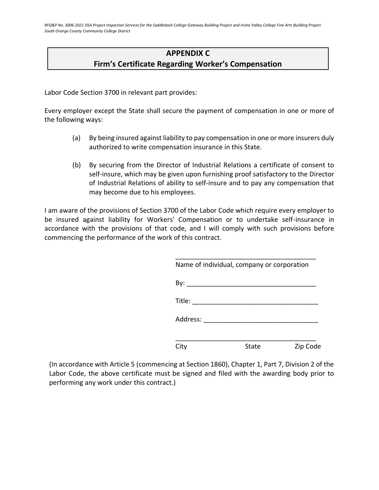# **APPENDIX C Firm's Certificate Regarding Worker's Compensation**

<span id="page-29-0"></span>Labor Code Section 3700 in relevant part provides:

Every employer except the State shall secure the payment of compensation in one or more of the following ways:

- (a) By being insured against liability to pay compensation in one or more insurers duly authorized to write compensation insurance in this State.
- (b) By securing from the Director of Industrial Relations a certificate of consent to self-insure, which may be given upon furnishing proof satisfactory to the Director of Industrial Relations of ability to self-insure and to pay any compensation that may become due to his employees.

I am aware of the provisions of Section 3700 of the Labor Code which require every employer to be insured against liability for Workers' Compensation or to undertake self-insurance in accordance with the provisions of that code, and I will comply with such provisions before commencing the performance of the work of this contract.

|                                                                                                                 | Name of individual, company or corporation |          |
|-----------------------------------------------------------------------------------------------------------------|--------------------------------------------|----------|
| By:                                                                                                             |                                            |          |
| $\text{Title:} \begin{tabular}{ c c c } \hline \quad \quad & \quad \quad & \quad \quad \\ \hline \end{tabular}$ |                                            |          |
| Address: ______                                                                                                 |                                            |          |
| City                                                                                                            | State                                      | Zip Code |

(In accordance with Article 5 (commencing at Section 1860), Chapter 1, Part 7, Division 2 of the Labor Code, the above certificate must be signed and filed with the awarding body prior to performing any work under this contract.)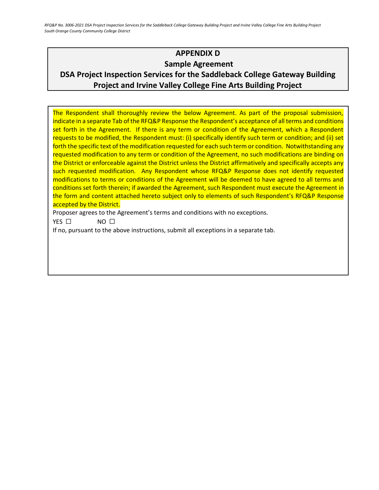# **APPENDIX D Sample Agreement**

# <span id="page-30-0"></span>**DSA Project Inspection Services for the Saddleback College Gateway Building Project and Irvine Valley College Fine Arts Building Project**

The Respondent shall thoroughly review the below Agreement. As part of the proposal submission, indicate in a separate Tab of the RFQ&P Response the Respondent's acceptance of all terms and conditions set forth in the Agreement. If there is any term or condition of the Agreement, which a Respondent requests to be modified, the Respondent must: (i) specifically identify such term or condition; and (ii) set forth the specific text of the modification requested for each such term or condition. Notwithstanding any requested modification to any term or condition of the Agreement, no such modifications are binding on the District or enforceable against the District unless the District affirmatively and specifically accepts any such requested modification. Any Respondent whose RFQ&P Response does not identify requested modifications to terms or conditions of the Agreement will be deemed to have agreed to all terms and conditions set forth therein; if awarded the Agreement, such Respondent must execute the Agreement in the form and content attached hereto subject only to elements of such Respondent's RFQ&P Response accepted by the District.

Proposer agrees to the Agreement's terms and conditions with no exceptions.

YES □ NO □

If no, pursuant to the above instructions, submit all exceptions in a separate tab.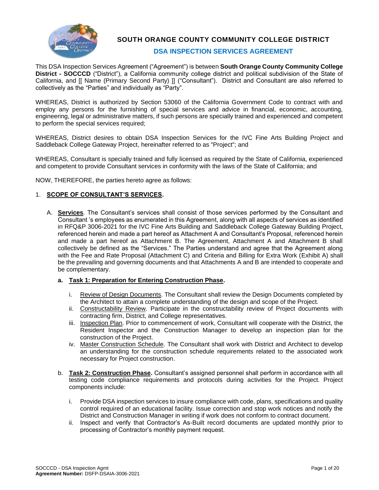

**SOUTH ORANGE COUNTY COMMUNITY COLLEGE DISTRICT**

### **DSA INSPECTION SERVICES AGREEMENT**

This DSA Inspection Services Agreement ("Agreement") is between **South Orange County Community College District - SOCCCD** ("District"), a California community college district and political subdivision of the State of California, and [[ Name (Primary Second Party) ]] ("Consultant"). District and Consultant are also referred to collectively as the "Parties" and individually as "Party".

WHEREAS, District is authorized by Section 53060 of the California Government Code to contract with and employ any persons for the furnishing of special services and advice in financial, economic, accounting, engineering, legal or administrative matters, if such persons are specially trained and experienced and competent to perform the special services required;

WHEREAS, District desires to obtain DSA Inspection Services for the IVC Fine Arts Building Project and Saddleback College Gateway Project, hereinafter referred to as "Project"; and

WHEREAS, Consultant is specially trained and fully licensed as required by the State of California, experienced and competent to provide Consultant services in conformity with the laws of the State of California; and

NOW, THEREFORE, the parties hereto agree as follows:

#### 1. **SCOPE OF CONSULTANT'S SERVICES.**

A. **Services**. The Consultant's services shall consist of those services performed by the Consultant and Consultant 's employees as enumerated in this Agreement, along with all aspects of services as identified in RFQ&P 3006-2021 for the IVC Fine Arts Building and Saddleback College Gateway Building Project, referenced herein and made a part hereof as Attachment A and Consultant's Proposal, referenced herein and made a part hereof as Attachment B. The Agreement, Attachment A and Attachment B shall collectively be defined as the "Services." The Parties understand and agree that the Agreement along with the Fee and Rate Proposal (Attachment C) and Criteria and Billing for Extra Work (Exhibit A) shall be the prevailing and governing documents and that Attachments A and B are intended to cooperate and be complementary.

#### **a. Task 1: Preparation for Entering Construction Phase.**

- i. Review of Design Documents. The Consultant shall review the Design Documents completed by the Architect to attain a complete understanding of the design and scope of the Project.
- ii. Constructability Review. Participate in the constructability review of Project documents with contracting firm, District, and College representatives.
- iii. Inspection Plan. Prior to commencement of work, Consultant will cooperate with the District, the Resident Inspector and the Construction Manager to develop an inspection plan for the construction of the Project.
- iv. Master Construction Schedule. The Consultant shall work with District and Architect to develop an understanding for the construction schedule requirements related to the associated work necessary for Project construction.
- b. **Task 2: Construction Phase.** Consultant's assigned personnel shall perform in accordance with all testing code compliance requirements and protocols during activities for the Project. Project components include:
	- i. Provide DSA inspection services to insure compliance with code, plans, specifications and quality control required of an educational facility. Issue correction and stop work notices and notify the District and Construction Manager in writing if work does not conform to contract document.
	- ii. Inspect and verify that Contractor's As-Built record documents are updated monthly prior to processing of Contractor's monthly payment request.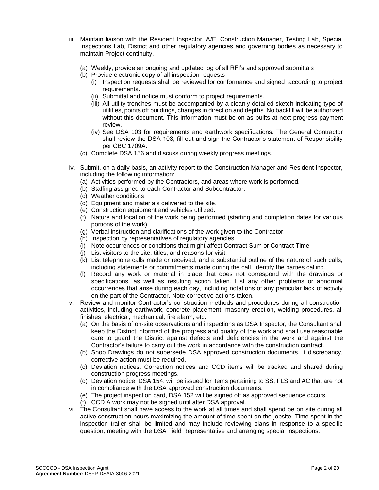- iii. Maintain liaison with the Resident Inspector, A/E, Construction Manager, Testing Lab, Special Inspections Lab, District and other regulatory agencies and governing bodies as necessary to maintain Project continuity.
	- (a) Weekly, provide an ongoing and updated log of all RFI's and approved submittals
	- (b) Provide electronic copy of all inspection requests
		- (i) Inspection requests shall be reviewed for conformance and signed according to project requirements.
		- (ii) Submittal and notice must conform to project requirements.
		- (iii) All utility trenches must be accompanied by a cleanly detailed sketch indicating type of utilities, points off buildings, changes in direction and depths. No backfill will be authorized without this document. This information must be on as-builts at next progress payment review.
		- (iv) See DSA 103 for requirements and earthwork specifications. The General Contractor shall review the DSA 103, fill out and sign the Contractor's statement of Responsibility per CBC 1709A.
	- (c) Complete DSA 156 and discuss during weekly progress meetings.
- iv. Submit, on a daily basis, an activity report to the Construction Manager and Resident Inspector, including the following information:
	- (a) Activities performed by the Contractors, and areas where work is performed.
	- (b) Staffing assigned to each Contractor and Subcontractor.
	- (c) Weather conditions.
	- (d) Equipment and materials delivered to the site.
	- (e) Construction equipment and vehicles utilized.
	- (f) Nature and location of the work being performed (starting and completion dates for various portions of the work).
	- (g) Verbal instruction and clarifications of the work given to the Contractor.
	- (h) Inspection by representatives of regulatory agencies.
	- (i) Note occurrences or conditions that might affect Contract Sum or Contract Time
	- (j) List visitors to the site, titles, and reasons for visit.
	- (k) List telephone calls made or received, and a substantial outline of the nature of such calls, including statements or commitments made during the call. Identify the parties calling.
	- (l) Record any work or material in place that does not correspond with the drawings or specifications, as well as resulting action taken. List any other problems or abnormal occurrences that arise during each day, including notations of any particular lack of activity on the part of the Contractor. Note corrective actions taken.
- v. Review and monitor Contractor's construction methods and procedures during all construction activities, including earthwork, concrete placement, masonry erection, welding procedures, all finishes, electrical, mechanical, fire alarm, etc.
	- (a) On the basis of on-site observations and inspections as DSA Inspector, the Consultant shall keep the District informed of the progress and quality of the work and shall use reasonable care to guard the District against defects and deficiencies in the work and against the Contractor's failure to carry out the work in accordance with the construction contract.
	- (b) Shop Drawings do not supersede DSA approved construction documents. If discrepancy, corrective action must be required.
	- (c) Deviation notices, Correction notices and CCD items will be tracked and shared during construction progress meetings.
	- (d) Deviation notice, DSA 154, will be issued for items pertaining to SS, FLS and AC that are not in compliance with the DSA approved construction documents.
	- (e) The project inspection card, DSA 152 will be signed off as approved sequence occurs.
	- (f) CCD A work may not be signed until after DSA approval.
- vi. The Consultant shall have access to the work at all times and shall spend be on site during all active construction hours maximizing the amount of time spent on the jobsite. Time spent in the inspection trailer shall be limited and may include reviewing plans in response to a specific question, meeting with the DSA Field Representative and arranging special inspections.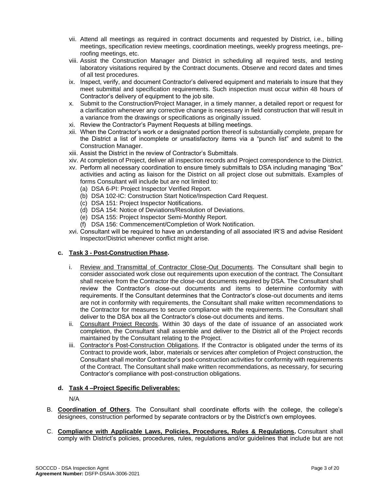- vii. Attend all meetings as required in contract documents and requested by District, i.e., billing meetings, specification review meetings, coordination meetings, weekly progress meetings, preroofing meetings, etc.
- viii. Assist the Construction Manager and District in scheduling all required tests, and testing laboratory visitations required by the Contract documents. Observe and record dates and times of all test procedures.
- ix. Inspect, verify, and document Contractor's delivered equipment and materials to insure that they meet submittal and specification requirements. Such inspection must occur within 48 hours of Contractor's delivery of equipment to the job site.
- x. Submit to the Construction/Project Manager, in a timely manner, a detailed report or request for a clarification whenever any corrective change is necessary in field construction that will result in a variance from the drawings or specifications as originally issued.
- xi. Review the Contractor's Payment Requests at billing meetings.
- xii. When the Contractor's work or a designated portion thereof is substantially complete, prepare for the District a list of incomplete or unsatisfactory items via a "punch list" and submit to the Construction Manager.
- xiii. Assist the District in the review of Contractor's Submittals.
- xiv. At completion of Project, deliver all inspection records and Project correspondence to the District.
- xv. Perform all necessary coordination to ensure timely submittals to DSA including managing "Box" activities and acting as liaison for the District on all project close out submittals. Examples of forms Consultant will include but are not limited to:
	- (a) DSA 6-PI: Project Inspector Verified Report.
	- (b) DSA 102-IC: Construction Start Notice/Inspection Card Request.
	- (c) DSA 151: Project Inspector Notifications.
	- (d) DSA 154: Notice of Deviations/Resolution of Deviations.
	- (e) DSA 155: Project Inspector Semi-Monthly Report.
	- (f) DSA 156: Commencement/Completion of Work Notification.
- xvi. Consultant will be required to have an understanding of all associated IR'S and advise Resident Inspector/District whenever conflict might arise.

#### **c. Task 3 - Post-Construction Phase.**

- i. Review and Transmittal of Contractor Close-Out Documents. The Consultant shall begin to consider associated work close out requirements upon execution of the contract. The Consultant shall receive from the Contractor the close-out documents required by DSA. The Consultant shall review the Contractor's close-out documents and items to determine conformity with requirements. If the Consultant determines that the Contractor's close-out documents and items are not in conformity with requirements, the Consultant shall make written recommendations to the Contractor for measures to secure compliance with the requirements. The Consultant shall deliver to the DSA box all the Contractor's close-out documents and items.
- ii. Consultant Project Records. Within 30 days of the date of issuance of an associated work completion, the Consultant shall assemble and deliver to the District all of the Project records maintained by the Consultant relating to the Project.
- iii. Contractor's Post-Construction Obligations. If the Contractor is obligated under the terms of its Contract to provide work, labor, materials or services after completion of Project construction, the Consultant shall monitor Contractor's post-construction activities for conformity with requirements of the Contract. The Consultant shall make written recommendations, as necessary, for securing Contractor's compliance with post-construction obligations.

#### **d. Task 4 –Project Specific Deliverables:**

N/A

- B. **Coordination of Others**. The Consultant shall coordinate efforts with the college, the college's designees, construction performed by separate contractors or by the District's own employees.
- C. **Compliance with Applicable Laws, Policies, Procedures, Rules & Regulations.** Consultant shall comply with District's policies, procedures, rules, regulations and/or guidelines that include but are not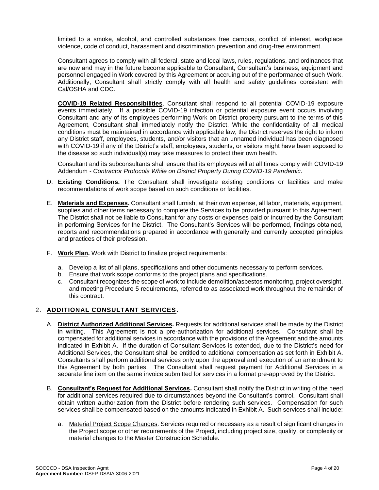limited to a smoke, alcohol, and controlled substances free campus, conflict of interest, workplace violence, code of conduct, harassment and discrimination prevention and drug-free environment.

Consultant agrees to comply with all federal, state and local laws, rules, regulations, and ordinances that are now and may in the future become applicable to Consultant, Consultant's business, equipment and personnel engaged in Work covered by this Agreement or accruing out of the performance of such Work. Additionally, Consultant shall strictly comply with all health and safety guidelines consistent with Cal/OSHA and CDC.

**COVID-19 Related Responsibilities**. Consultant shall respond to all potential COVID-19 exposure events immediately. If a possible COVID-19 infection or potential exposure event occurs involving Consultant and any of its employees performing Work on District property pursuant to the terms of this Agreement, Consultant shall immediately notify the District. While the confidentiality of all medical conditions must be maintained in accordance with applicable law, the District reserves the right to inform any District staff, employees, students, and/or visitors that an unnamed individual has been diagnosed with COVID-19 if any of the District's staff, employees, students, or visitors might have been exposed to the disease so such individual(s) may take measures to protect their own health.

Consultant and its subconsultants shall ensure that its employees will at all times comply with COVID-19 Addendum - *Contractor Protocols While on District Property During COVID-19 Pandemic*.

- D. **Existing Conditions.** The Consultant shall investigate existing conditions or facilities and make recommendations of work scope based on such conditions or facilities.
- E. **Materials and Expenses.** Consultant shall furnish, at their own expense, all labor, materials, equipment, supplies and other items necessary to complete the Services to be provided pursuant to this Agreement. The District shall not be liable to Consultant for any costs or expenses paid or incurred by the Consultant in performing Services for the District. The Consultant's Services will be performed, findings obtained, reports and recommendations prepared in accordance with generally and currently accepted principles and practices of their profession.
- F. **Work Plan.** Work with District to finalize project requirements:
	- a. Develop a list of all plans, specifications and other documents necessary to perform services.
	- b. Ensure that work scope conforms to the project plans and specifications.
	- c. Consultant recognizes the scope of work to include demolition/asbestos monitoring, project oversight, and meeting Procedure 5 requirements, referred to as associated work throughout the remainder of this contract.

#### 2. **ADDITIONAL CONSULTANT SERVICES.**

- A. **District Authorized Additional Services.** Requests for additional services shall be made by the District in writing. This Agreement is not a pre-authorization for additional services. Consultant shall be compensated for additional services in accordance with the provisions of the Agreement and the amounts indicated in Exhibit A. If the duration of Consultant Services is extended, due to the District's need for Additional Services, the Consultant shall be entitled to additional compensation as set forth in Exhibit A. Consultants shall perform additional services only upon the approval and execution of an amendment to this Agreement by both parties. The Consultant shall request payment for Additional Services in a separate line item on the same invoice submitted for services in a format pre-approved by the District.
- B. **Consultant's Request for Additional Services.** Consultant shall notify the District in writing of the need for additional services required due to circumstances beyond the Consultant's control. Consultant shall obtain written authorization from the District before rendering such services. Compensation for such services shall be compensated based on the amounts indicated in Exhibit A. Such services shall include:
	- a. Material Project Scope Changes. Services required or necessary as a result of significant changes in the Project scope or other requirements of the Project, including project size, quality, or complexity or material changes to the Master Construction Schedule.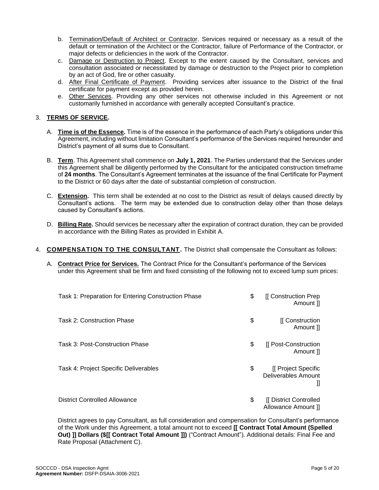- b. Termination/Default of Architect or Contractor. Services required or necessary as a result of the default or termination of the Architect or the Contractor, failure of Performance of the Contractor, or major defects or deficiencies in the work of the Contractor.
- c. Damage or Destruction to Project. Except to the extent caused by the Consultant, services and consultation associated or necessitated by damage or destruction to the Project prior to completion by an act of God, fire or other casualty.
- d. After Final Certificate of Payment. Providing services after issuance to the District of the final certificate for payment except as provided herein.
- e. Other Services. Providing any other services not otherwise included in this Agreement or not customarily furnished in accordance with generally accepted Consultant's practice.

#### 3. **TERMS OF SERVICE.**

- A. **Time is of the Essence.** Time is of the essence in the performance of each Party's obligations under this Agreement, including without limitation Consultant's performance of the Services required hereunder and District's payment of all sums due to Consultant.
- B. **Term**. This Agreement shall commence on **July 1, 2021**. The Parties understand that the Services under this Agreement shall be diligently performed by the Consultant for the anticipated construction timeframe of **24 months**. The Consultant's Agreement terminates at the issuance of the final Certificate for Payment to the District or 60 days after the date of substantial completion of construction.
- C. **Extension.** This term shall be extended at no cost to the District as result of delays caused directly by Consultant's actions. The term may be extended due to construction delay other than those delays caused by Consultant's actions.
- D. **Billing Rate.** Should services be necessary after the expiration of contract duration, they can be provided in accordance with the Billing Rates as provided in Exhibit A.
- 4. **COMPENSATION TO THE CONSULTANT.** The District shall compensate the Consultant as follows:
	- A. **Contract Price for Services.** The Contract Price for the Consultant's performance of the Services under this Agreement shall be firm and fixed consisting of the following not to exceed lump sum prices:

| Task 1: Preparation for Entering Construction Phase | \$<br>[[ Construction Prep<br>Amount II               |
|-----------------------------------------------------|-------------------------------------------------------|
| <b>Task 2: Construction Phase</b>                   | \$<br>[[ Construction<br>Amount II                    |
| Task 3: Post-Construction Phase                     | \$<br>[[ Post-Construction<br>Amount 1                |
| Task 4: Project Specific Deliverables               | \$<br>[[ Project Specific<br>Deliverables Amount<br>Ш |
| <b>District Controlled Allowance</b>                | \$<br>[[ District Controlled<br>Allowance Amount ]    |

District agrees to pay Consultant, as full consideration and compensation for Consultant's performance of the Work under this Agreement, a total amount not to exceed **[[ Contract Total Amount (Spelled Out) ]] Dollars (\$[[ Contract Total Amount ]])** ("Contract Amount"). Additional details: Final Fee and Rate Proposal (Attachment C).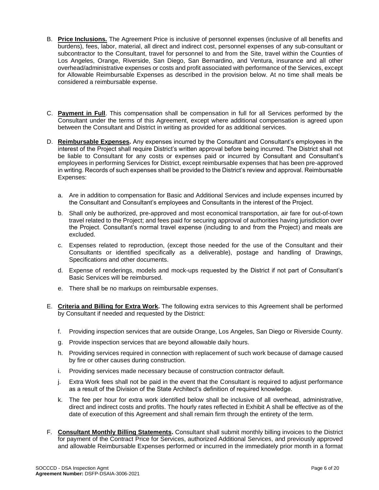- B. **Price Inclusions.** The Agreement Price is inclusive of personnel expenses (inclusive of all benefits and burdens), fees, labor, material, all direct and indirect cost, personnel expenses of any sub-consultant or subcontractor to the Consultant, travel for personnel to and from the Site, travel within the Counties of Los Angeles, Orange, Riverside, San Diego, San Bernardino, and Ventura, insurance and all other overhead/administrative expenses or costs and profit associated with performance of the Services, except for Allowable Reimbursable Expenses as described in the provision below. At no time shall meals be considered a reimbursable expense.
- C. **Payment in Full**. This compensation shall be compensation in full for all Services performed by the Consultant under the terms of this Agreement, except where additional compensation is agreed upon between the Consultant and District in writing as provided for as additional services.
- D. **Reimbursable Expenses.** Any expenses incurred by the Consultant and Consultant's employees in the interest of the Project shall require District's written approval before being incurred. The District shall not be liable to Consultant for any costs or expenses paid or incurred by Consultant and Consultant's employees in performing Services for District, except reimbursable expenses that has been pre-approved in writing. Records of such expenses shall be provided to the District's review and approval. Reimbursable Expenses:
	- a. Are in addition to compensation for Basic and Additional Services and include expenses incurred by the Consultant and Consultant's employees and Consultants in the interest of the Project.
	- b. Shall only be authorized, pre-approved and most economical transportation, air fare for out-of-town travel related to the Project; and fees paid for securing approval of authorities having jurisdiction over the Project. Consultant's normal travel expense (including to and from the Project) and meals are excluded.
	- c. Expenses related to reproduction, (except those needed for the use of the Consultant and their Consultants or identified specifically as a deliverable), postage and handling of Drawings, Specifications and other documents.
	- d. Expense of renderings, models and mock-ups requested by the District if not part of Consultant's Basic Services will be reimbursed.
	- e. There shall be no markups on reimbursable expenses.
- E. **Criteria and Billing for Extra Work.** The following extra services to this Agreement shall be performed by Consultant if needed and requested by the District:
	- f. Providing inspection services that are outside Orange, Los Angeles, San Diego or Riverside County.
	- g. Provide inspection services that are beyond allowable daily hours.
	- h. Providing services required in connection with replacement of such work because of damage caused by fire or other causes during construction.
	- i. Providing services made necessary because of construction contractor default.
	- j. Extra Work fees shall not be paid in the event that the Consultant is required to adjust performance as a result of the Division of the State Architect's definition of required knowledge.
	- k. The fee per hour for extra work identified below shall be inclusive of all overhead, administrative, direct and indirect costs and profits. The hourly rates reflected in Exhibit A shall be effective as of the date of execution of this Agreement and shall remain firm through the entirety of the term.
- F. **Consultant Monthly Billing Statements.** Consultant shall submit monthly billing invoices to the District for payment of the Contract Price for Services, authorized Additional Services, and previously approved and allowable Reimbursable Expenses performed or incurred in the immediately prior month in a format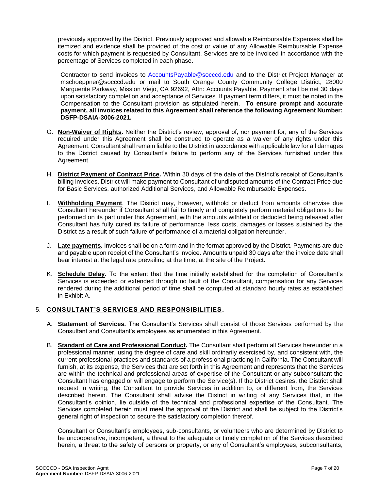previously approved by the District. Previously approved and allowable Reimbursable Expenses shall be itemized and evidence shall be provided of the cost or value of any Allowable Reimbursable Expense costs for which payment is requested by Consultant. Services are to be invoiced in accordance with the percentage of Services completed in each phase.

Contractor to send invoices to [AccountsPayable@socccd.edu](mailto:AccountsPayable@socccd.edu) and to the District Project Manager at mschoeppner@socccd.edu or mail to South Orange County Community College District, 28000 Marguerite Parkway, Mission Viejo, CA 92692, Attn: Accounts Payable. Payment shall be net 30 days upon satisfactory completion and acceptance of Services. If payment term differs, it must be noted in the Compensation to the Consultant provision as stipulated herein. **To ensure prompt and accurate payment, all invoices related to this Agreement shall reference the following Agreement Number: DSFP-DSAIA-3006-2021.**

- G. **Non-Waiver of Rights.** Neither the District's review, approval of, nor payment for, any of the Services required under this Agreement shall be construed to operate as a waiver of any rights under this Agreement. Consultant shall remain liable to the District in accordance with applicable law for all damages to the District caused by Consultant's failure to perform any of the Services furnished under this Agreement.
- H. **District Payment of Contract Price.** Within 30 days of the date of the District's receipt of Consultant's billing invoices, District will make payment to Consultant of undisputed amounts of the Contract Price due for Basic Services, authorized Additional Services, and Allowable Reimbursable Expenses.
- I. **Withholding Payment**. The District may, however, withhold or deduct from amounts otherwise due Consultant hereunder if Consultant shall fail to timely and completely perform material obligations to be performed on its part under this Agreement, with the amounts withheld or deducted being released after Consultant has fully cured its failure of performance, less costs, damages or losses sustained by the District as a result of such failure of performance of a material obligation hereunder.
- J. **Late payments.** Invoices shall be on a form and in the format approved by the District. Payments are due and payable upon receipt of the Consultant's invoice. Amounts unpaid 30 days after the invoice date shall bear interest at the legal rate prevailing at the time, at the site of the Project.
- K. **Schedule Delay.** To the extent that the time initially established for the completion of Consultant's Services is exceeded or extended through no fault of the Consultant, compensation for any Services rendered during the additional period of time shall be computed at standard hourly rates as established in Exhibit A.

#### 5. **CONSULTANT'S SERVICES AND RESPONSIBILITIES.**

- A. **Statement of Services.** The Consultant's Services shall consist of those Services performed by the Consultant and Consultant's employees as enumerated in this Agreement.
- B. **Standard of Care and Professional Conduct.** The Consultant shall perform all Services hereunder in a professional manner, using the degree of care and skill ordinarily exercised by, and consistent with, the current professional practices and standards of a professional practicing in California. The Consultant will furnish, at its expense, the Services that are set forth in this Agreement and represents that the Services are within the technical and professional areas of expertise of the Consultant or any subconsultant the Consultant has engaged or will engage to perform the Service(s). If the District desires, the District shall request in writing, the Consultant to provide Services in addition to, or different from, the Services described herein. The Consultant shall advise the District in writing of any Services that, in the Consultant's opinion, lie outside of the technical and professional expertise of the Consultant. The Services completed herein must meet the approval of the District and shall be subject to the District's general right of inspection to secure the satisfactory completion thereof.

Consultant or Consultant's employees, sub-consultants, or volunteers who are determined by District to be uncooperative, incompetent, a threat to the adequate or timely completion of the Services described herein, a threat to the safety of persons or property, or any of Consultant's employees, subconsultants,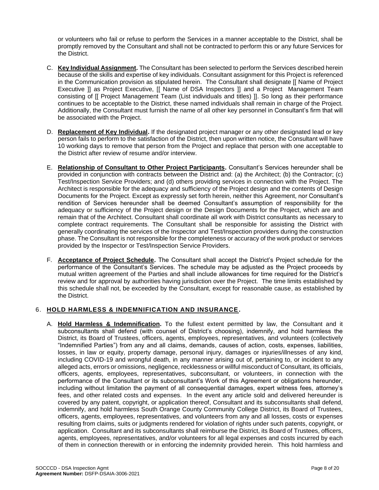or volunteers who fail or refuse to perform the Services in a manner acceptable to the District, shall be promptly removed by the Consultant and shall not be contracted to perform this or any future Services for the District.

- C. **Key Individual Assignment.** The Consultant has been selected to perform the Services described herein because of the skills and expertise of key individuals. Consultant assignment for this Project is referenced in the Communication provision as stipulated herein. The Consultant shall designate [[ Name of Project Executive ]] as Project Executive, [[ Name of DSA Inspectors ]] and a Project Management Team consisting of [[ Project Management Team (List individuals and titles) ]]. So long as their performance continues to be acceptable to the District, these named individuals shall remain in charge of the Project. Additionally, the Consultant must furnish the name of all other key personnel in Consultant's firm that will be associated with the Project.
- D. **Replacement of Key Individual.** If the designated project manager or any other designated lead or key person fails to perform to the satisfaction of the District, then upon written notice, the Consultant will have 10 working days to remove that person from the Project and replace that person with one acceptable to the District after review of resume and/or interview.
- E. **Relationship of Consultant to Other Project Participants.** Consultant's Services hereunder shall be provided in conjunction with contracts between the District and: (a) the Architect; (b) the Contractor; (c) Test/Inspection Service Providers; and (d) others providing services in connection with the Project. The Architect is responsible for the adequacy and sufficiency of the Project design and the contents of Design Documents for the Project. Except as expressly set forth herein, neither this Agreement, nor Consultant's rendition of Services hereunder shall be deemed Consultant's assumption of responsibility for the adequacy or sufficiency of the Project design or the Design Documents for the Project, which are and remain that of the Architect. Consultant shall coordinate all work with District consultants as necessary to complete contract requirements. The Consultant shall be responsible for assisting the District with generally coordinating the services of the Inspector and Test/Inspection providers during the construction phase. The Consultant is not responsible for the completeness or accuracy of the work product or services provided by the Inspector or Test/Inspection Service Providers.
- F. **Acceptance of Project Schedule.** The Consultant shall accept the District's Project schedule for the performance of the Consultant's Services. The schedule may be adjusted as the Project proceeds by mutual written agreement of the Parties and shall include allowances for time required for the District's review and for approval by authorities having jurisdiction over the Project. The time limits established by this schedule shall not, be exceeded by the Consultant, except for reasonable cause, as established by the District.

#### 6. **HOLD HARMLESS & INDEMNIFICATION AND INSURANCE.**

A. **Hold Harmless & Indemnification.** To the fullest extent permitted by law, the Consultant and it subconsultants shall defend (with counsel of District's choosing), indemnify, and hold harmless the District, its Board of Trustees, officers, agents, employees, representatives, and volunteers (collectively "Indemnified Parties") from any and all claims, demands, causes of action, costs, expenses, liabilities, losses, in law or equity, property damage, personal injury, damages or injuries/illnesses of any kind, including COVID-19 and wrongful death, in any manner arising out of, pertaining to, or incident to any alleged acts, errors or omissions, negligence, recklessness or willful misconduct of Consultant, its officials, officers, agents, employees, representatives, subconsultant, or volunteers, in connection with the performance of the Consultant or its subconsultant's Work of this Agreement or obligations hereunder, including without limitation the payment of all consequential damages, expert witness fees, attorney's fees, and other related costs and expenses. In the event any article sold and delivered hereunder is covered by any patent, copyright, or application thereof, Consultant and its subconsultants shall defend, indemnify, and hold harmless South Orange County Community College District, its Board of Trustees, officers, agents, employees, representatives, and volunteers from any and all losses, costs or expenses resulting from claims, suits or judgments rendered for violation of rights under such patents, copyright, or application. Consultant and its subconsultants shall reimburse the District, its Board of Trustees, officers, agents, employees, representatives, and/or volunteers for all legal expenses and costs incurred by each of them in connection therewith or in enforcing the indemnity provided herein. This hold harmless and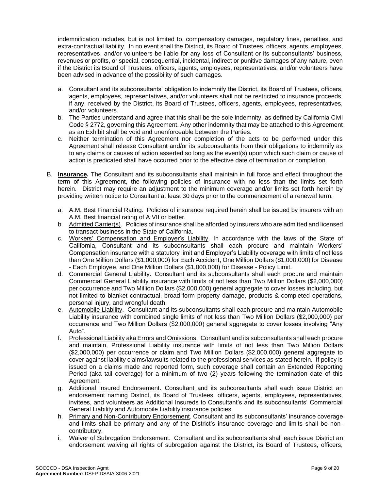indemnification includes, but is not limited to, compensatory damages, regulatory fines, penalties, and extra-contractual liability. In no event shall the District, its Board of Trustees, officers, agents, employees, representatives, and/or volunteers be liable for any loss of Consultant or its subconsultants' business, revenues or profits, or special, consequential, incidental, indirect or punitive damages of any nature, even if the District its Board of Trustees, officers, agents, employees, representatives, and/or volunteers have been advised in advance of the possibility of such damages.

- a. Consultant and its subconsultants' obligation to indemnify the District, its Board of Trustees, officers, agents, employees, representatives, and/or volunteers shall not be restricted to insurance proceeds, if any, received by the District, its Board of Trustees, officers, agents, employees, representatives, and/or volunteers.
- b. The Parties understand and agree that this shall be the sole indemnity, as defined by California Civil Code § 2772, governing this Agreement. Any other indemnity that may be attached to this Agreement as an Exhibit shall be void and unenforceable between the Parties.
- c. Neither termination of this Agreement nor completion of the acts to be performed under this Agreement shall release Consultant and/or its subconsultants from their obligations to indemnify as to any claims or causes of action asserted so long as the event(s) upon which such claim or cause of action is predicated shall have occurred prior to the effective date of termination or completion.
- B. **Insurance.** The Consultant and its subconsultants shall maintain in full force and effect throughout the term of this Agreement, the following policies of insurance with no less than the limits set forth herein. District may require an adjustment to the minimum coverage and/or limits set forth herein by providing written notice to Consultant at least 30 days prior to the commencement of a renewal term.
	- a. A.M. Best Financial Rating.Policies of insurance required herein shall be issued by insurers with an A.M. Best financial rating of A:VII or better.
	- b. Admitted Carrier(s). Policies of insurance shall be afforded by insurers who are admitted and licensed to transact business in the State of California.
	- c. Workers' Compensation and Employer's Liability.In accordance with the laws of the State of California, Consultant and its subconsultants shall each procure and maintain Workers' Compensation insurance with a statutory limit and Employer's Liability coverage with limits of not less than One Million Dollars (\$1,000,000) for Each Accident, One Million Dollars (\$1,000,000) for Disease - Each Employee, and One Million Dollars (\$1,000,000) for Disease - Policy Limit.
	- d. Commercial General Liability. Consultant and its subconsultants shall each procure and maintain Commercial General Liability insurance with limits of not less than Two Million Dollars (\$2,000,000) per occurrence and Two Million Dollars (\$2,000,000) general aggregate to cover losses including, but not limited to blanket contractual, broad form property damage, products & completed operations, personal injury, and wrongful death.
	- e. Automobile Liability. Consultant and its subconsultants shall each procure and maintain Automobile Liability insurance with combined single limits of not less than Two Million Dollars (\$2,000,000) per occurrence and Two Million Dollars (\$2,000,000) general aggregate to cover losses involving "Any Auto".
	- f. Professional Liability aka Errors and Omissions.Consultant and its subconsultants shall each procure and maintain, Professional Liability insurance with limits of not less than Two Million Dollars (\$2,000,000) per occurrence or claim and Two Million Dollars (\$2,000,000) general aggregate to cover against liability claims/lawsuits related to the professional services as stated herein. If policy is issued on a claims made and reported form, such coverage shall contain an Extended Reporting Period (aka tail coverage) for a minimum of two (2) years following the termination date of this Agreement.
	- g. Additional Insured Endorsement. Consultant and its subconsultants shall each issue District an endorsement naming District, its Board of Trustees, officers, agents, employees, representatives, invitees, and volunteers as Additional Insureds to Consultant's and its subconsultants' Commercial General Liability and Automobile Liability insurance policies.
	- h. Primary and Non-Contributory Endorsement. Consultant and its subconsultants' insurance coverage and limits shall be primary and any of the District's insurance coverage and limits shall be noncontributory.
	- i. Waiver of Subrogation Endorsement. Consultant and its subconsultants shall each issue District an endorsement waiving all rights of subrogation against the District, its Board of Trustees, officers,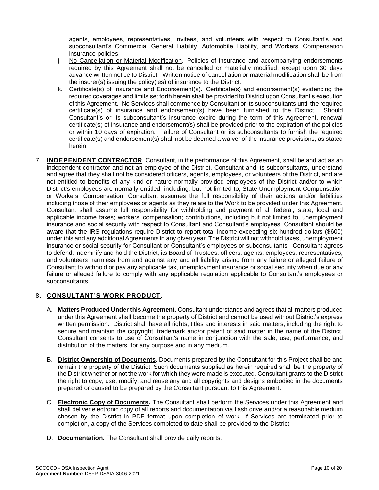agents, employees, representatives, invitees, and volunteers with respect to Consultant's and subconsultant's Commercial General Liability, Automobile Liability, and Workers' Compensation insurance policies.

- i. No Cancellation or Material Modification. Policies of insurance and accompanying endorsements required by this Agreement shall not be cancelled or materially modified, except upon 30 days advance written notice to District. Written notice of cancellation or material modification shall be from the insurer(s) issuing the policy(ies) of insurance to the District.
- k. Certificate(s) of Insurance and Endorsement(s). Certificate(s) and endorsement(s) evidencing the required coverages and limits set forth herein shall be provided to District upon Consultant's execution of this Agreement. No Services shall commence by Consultant or its subconsultants until the required certificate(s) of insurance and endorsement(s) have been furnished to the District. Should Consultant's or its subconsultant's insurance expire during the term of this Agreement, renewal certificate(s) of insurance and endorsement(s) shall be provided prior to the expiration of the policies or within 10 days of expiration. Failure of Consultant or its subconsultants to furnish the required certificate(s) and endorsement(s) shall not be deemed a waiver of the insurance provisions, as stated herein.
- 7. **INDEPENDENT CONTRACTOR**. Consultant, in the performance of this Agreement, shall be and act as an independent contractor and not an employee of the District. Consultant and its subconsultants, understand and agree that they shall not be considered officers, agents, employees, or volunteers of the District, and are not entitled to benefits of any kind or nature normally provided employees of the District and/or to which District's employees are normally entitled, including, but not limited to, State Unemployment Compensation or Workers' Compensation. Consultant assumes the full responsibility of their actions and/or liabilities including those of their employees or agents as they relate to the Work to be provided under this Agreement. Consultant shall assume full responsibility for withholding and payment of all federal, state, local and applicable income taxes; workers' compensation; contributions, including but not limited to, unemployment insurance and social security with respect to Consultant and Consultant's employees. Consultant should be aware that the IRS regulations require District to report total income exceeding six hundred dollars (\$600) under this and any additional Agreements in any given year. The District will not withhold taxes, unemployment insurance or social security for Consultant or Consultant's employees or subconsultants. Consultant agrees to defend, indemnify and hold the District, its Board of Trustees, officers, agents, employees, representatives, and volunteers harmless from and against any and all liability arising from any failure or alleged failure of Consultant to withhold or pay any applicable tax, unemployment insurance or social security when due or any failure or alleged failure to comply with any applicable regulation applicable to Consultant's employees or subconsultants.

### 8. **CONSULTANT'S WORK PRODUCT.**

- A. **Matters Produced Under this Agreement.** Consultant understands and agrees that all matters produced under this Agreement shall become the property of District and cannot be used without District's express written permission. District shall have all rights, titles and interests in said matters, including the right to secure and maintain the copyright, trademark and/or patent of said matter in the name of the District. Consultant consents to use of Consultant's name in conjunction with the sale, use, performance, and distribution of the matters, for any purpose and in any medium.
- B. **District Ownership of Documents.** Documents prepared by the Consultant for this Project shall be and remain the property of the District. Such documents supplied as herein required shall be the property of the District whether or not the work for which they were made is executed. Consultant grants to the District the right to copy, use, modify, and reuse any and all copyrights and designs embodied in the documents prepared or caused to be prepared by the Consultant pursuant to this Agreement.
- C. **Electronic Copy of Documents.** The Consultant shall perform the Services under this Agreement and shall deliver electronic copy of all reports and documentation via flash drive and/or a reasonable medium chosen by the District in PDF format upon completion of work. If Services are terminated prior to completion, a copy of the Services completed to date shall be provided to the District.
- D. **Documentation.** The Consultant shall provide daily reports.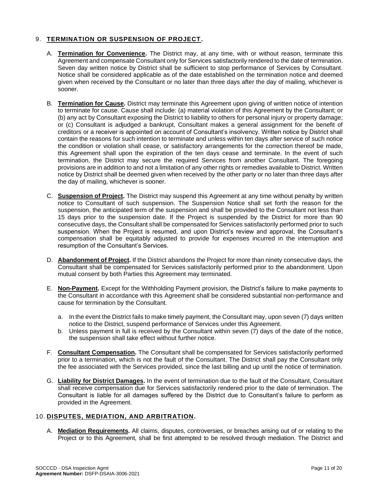### 9. **TERMINATION OR SUSPENSION OF PROJECT.**

- A. **Termination for Convenience.** The District may, at any time, with or without reason, terminate this Agreement and compensate Consultant only for Services satisfactorily rendered to the date of termination. Seven day written notice by District shall be sufficient to stop performance of Services by Consultant. Notice shall be considered applicable as of the date established on the termination notice and deemed given when received by the Consultant or no later than three days after the day of mailing, whichever is sooner.
- B. **Termination for Cause.** District may terminate this Agreement upon giving of written notice of intention to terminate for cause. Cause shall include: (a) material violation of this Agreement by the Consultant; or (b) any act by Consultant exposing the District to liability to others for personal injury or property damage; or (c) Consultant is adjudged a bankrupt, Consultant makes a general assignment for the benefit of creditors or a receiver is appointed on account of Consultant's insolvency. Written notice by District shall contain the reasons for such intention to terminate and unless within ten days after service of such notice the condition or violation shall cease, or satisfactory arrangements for the correction thereof be made, this Agreement shall upon the expiration of the ten days cease and terminate. In the event of such termination, the District may secure the required Services from another Consultant. The foregoing provisions are in addition to and not a limitation of any other rights or remedies available to District. Written notice by District shall be deemed given when received by the other party or no later than three days after the day of mailing, whichever is sooner.
- C. **Suspension of Project.** The District may suspend this Agreement at any time without penalty by written notice to Consultant of such suspension. The Suspension Notice shall set forth the reason for the suspension, the anticipated term of the suspension and shall be provided to the Consultant not less than 15 days prior to the suspension date. If the Project is suspended by the District for more than 90 consecutive days, the Consultant shall be compensated for Services satisfactorily performed prior to such suspension. When the Project is resumed, and upon District's review and approval, the Consultant's compensation shall be equitably adjusted to provide for expenses incurred in the interruption and resumption of the Consultant's Services.
- D. **Abandonment of Project.** If the District abandons the Project for more than ninety consecutive days, the Consultant shall be compensated for Services satisfactorily performed prior to the abandonment. Upon mutual consent by both Parties this Agreement may terminated.
- E. **Non-Payment.** Except for the Withholding Payment provision, the District's failure to make payments to the Consultant in accordance with this Agreement shall be considered substantial non-performance and cause for termination by the Consultant.
	- a. In the event the District fails to make timely payment, the Consultant may, upon seven (7) days written notice to the District, suspend performance of Services under this Agreement.
	- b. Unless payment in full is received by the Consultant within seven (7) days of the date of the notice, the suspension shall take effect without further notice.
- F. **Consultant Compensation.** The Consultant shall be compensated for Services satisfactorily performed prior to a termination, which is not the fault of the Consultant. The District shall pay the Consultant only the fee associated with the Services provided, since the last billing and up until the notice of termination.
- G. **Liability for District Damages.** In the event of termination due to the fault of the Consultant, Consultant shall receive compensation due for Services satisfactorily rendered prior to the date of termination. The Consultant is liable for all damages suffered by the District due to Consultant's failure to perform as provided in the Agreement.

#### 10. **DISPUTES, MEDIATION, AND ARBITRATION.**

A. **Mediation Requirements.** All claims, disputes, controversies, or breaches arising out of or relating to the Project or to this Agreement, shall be first attempted to be resolved through mediation. The District and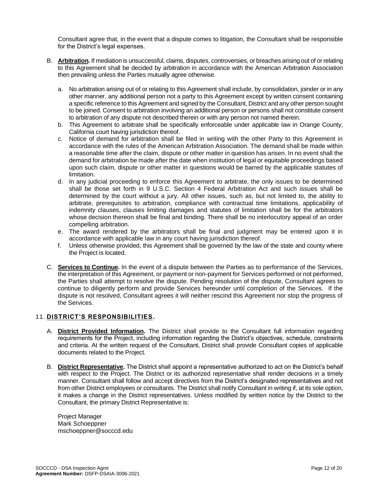Consultant agree that, in the event that a dispute comes to litigation, the Consultant shall be responsible for the District's legal expenses.

- B. **Arbitration.**If mediation is unsuccessful, claims, disputes, controversies, or breaches arising out of or relating to this Agreement shall be decided by arbitration in accordance with the American Arbitration Association then prevailing unless the Parties mutually agree otherwise.
	- a. No arbitration arising out of or relating to this Agreement shall include, by consolidation, joinder or in any other manner, any additional person not a party to this Agreement except by written consent containing a specific reference to this Agreement and signed by the Consultant, District and any other person sought to be joined. Consent to arbitration involving an additional person or persons shall not constitute consent to arbitration of any dispute not described therein or with any person not named therein.
	- b. This Agreement to arbitrate shall be specifically enforceable under applicable law in Orange County, California court having jurisdiction thereof.
	- c. Notice of demand for arbitration shall be filed in writing with the other Party to this Agreement in accordance with the rules of the American Arbitration Association. The demand shall be made within a reasonable time after the claim, dispute or other matter in question has arisen. In no event shall the demand for arbitration be made after the date when institution of legal or equitable proceedings based upon such claim, dispute or other matter in questions would be barred by the applicable statutes of limitation.
	- d. In any judicial proceeding to enforce this Agreement to arbitrate, the only issues to be determined shall be those set forth in 9 U.S.C. Section 4 Federal Arbitration Act and such issues shall be determined by the court without a jury. All other issues, such as, but not limited to, the ability to arbitrate, prerequisites to arbitration, compliance with contractual time limitations, applicability of indemnity clauses, clauses limiting damages and statutes of limitation shall be for the arbitrators whose decision thereon shall be final and binding. There shall be no interlocutory appeal of an order compelling arbitration.
	- e. The award rendered by the arbitrators shall be final and judgment may be entered upon it in accordance with applicable law in any court having jurisdiction thereof.
	- f. Unless otherwise provided, this Agreement shall be governed by the law of the state and county where the Project is located.
- C. **Services to Continue.** In the event of a dispute between the Parties as to performance of the Services, the interpretation of this Agreement, or payment or non-payment for Services performed or not performed, the Parties shall attempt to resolve the dispute. Pending resolution of the dispute, Consultant agrees to continue to diligently perform and provide Services hereunder until completion of the Services. If the dispute is not resolved, Consultant agrees it will neither rescind this Agreement nor stop the progress of the Services.

#### 11. **DISTRICT'S RESPONSIBILITIES.**

- A. **District Provided Information.** The District shall provide to the Consultant full information regarding requirements for the Project, including information regarding the District's objectives, schedule, constraints and criteria. At the written request of the Consultant, District shall provide Consultant copies of applicable documents related to the Project.
- B. **District Representative.** The District shall appoint a representative authorized to act on the District's behalf with respect to the Project. The District or its authorized representative shall render decisions in a timely manner. Consultant shall follow and accept directives from the District's designated representatives and not from other District employees or consultants. The District shall notify Consultant in writing if, at its sole option, it makes a change in the District representatives. Unless modified by written notice by the District to the Consultant, the primary District Representative is:

Project Manager Mark Schoeppner mschoeppner@socccd.edu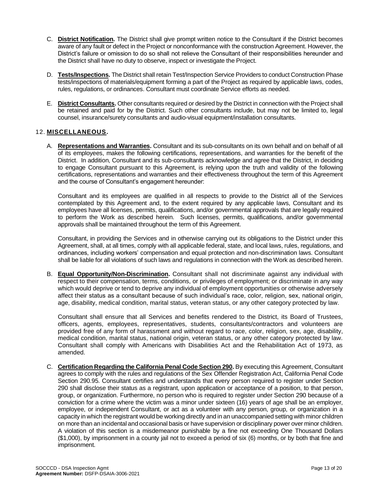- C. **District Notification.** The District shall give prompt written notice to the Consultant if the District becomes aware of any fault or defect in the Project or nonconformance with the construction Agreement. However, the District's failure or omission to do so shall not relieve the Consultant of their responsibilities hereunder and the District shall have no duty to observe, inspect or investigate the Project.
- D. **Tests/Inspections.** The District shall retain Test/Inspection Service Providers to conduct Construction Phase tests/inspections of materials/equipment forming a part of the Project as required by applicable laws, codes, rules, regulations, or ordinances. Consultant must coordinate Service efforts as needed.
- E. **District Consultants.** Other consultants required or desired by the District in connection with the Project shall be retained and paid for by the District. Such other consultants include, but may not be limited to, legal counsel, insurance/surety consultants and audio-visual equipment/installation consultants.

#### 12. **MISCELLANEOUS.**

A. **Representations and Warranties.** Consultant and its sub-consultants on its own behalf and on behalf of all of its employees, makes the following certifications, representations, and warranties for the benefit of the District. In addition, Consultant and its sub-consultants acknowledge and agree that the District, in deciding to engage Consultant pursuant to this Agreement, is relying upon the truth and validity of the following certifications, representations and warranties and their effectiveness throughout the term of this Agreement and the course of Consultant's engagement hereunder:

Consultant and its employees are qualified in all respects to provide to the District all of the Services contemplated by this Agreement and, to the extent required by any applicable laws, Consultant and its employees have all licenses, permits, qualifications, and/or governmental approvals that are legally required to perform the Work as described herein. Such licenses, permits, qualifications, and/or governmental approvals shall be maintained throughout the term of this Agreement.

Consultant, in providing the Services and in otherwise carrying out its obligations to the District under this Agreement, shall, at all times, comply with all applicable federal, state, and local laws, rules, regulations, and ordinances, including workers' compensation and equal protection and non-discrimination laws. Consultant shall be liable for all violations of such laws and regulations in connection with the Work as described herein.

B. **Equal Opportunity/Non-Discrimination.** Consultant shall not discriminate against any individual with respect to their compensation, terms, conditions, or privileges of employment; or discriminate in any way which would deprive or tend to deprive any individual of employment opportunities or otherwise adversely affect their status as a consultant because of such individual's race, color, religion, sex, national origin, age, disability, medical condition, marital status, veteran status, or any other category protected by law.

Consultant shall ensure that all Services and benefits rendered to the District, its Board of Trustees, officers, agents, employees, representatives, students, consultants/contractors and volunteers are provided free of any form of harassment and without regard to race, color, religion, sex, age, disability, medical condition, marital status, national origin, veteran status, or any other category protected by law. Consultant shall comply with Americans with Disabilities Act and the Rehabilitation Act of 1973, as amended.

C. **Certification Regarding the California Penal Code Section 290.** By executing this Agreement, Consultant agrees to comply with the rules and regulations of the Sex Offender Registration Act, California Penal Code Section 290.95. Consultant certifies and understands that every person required to register under Section 290 shall disclose their status as a registrant, upon application or acceptance of a position, to that person, group, or organization. Furthermore, no person who is required to register under Section 290 because of a conviction for a crime where the victim was a minor under sixteen (16) years of age shall be an employer, employee, or independent Consultant, or act as a volunteer with any person, group, or organization in a capacity in which the registrant would be working directly and in an unaccompanied setting with minor children on more than an incidental and occasional basis or have supervision or disciplinary power over minor children. A violation of this section is a misdemeanor punishable by a fine not exceeding One Thousand Dollars (\$1,000), by imprisonment in a county jail not to exceed a period of six (6) months, or by both that fine and imprisonment.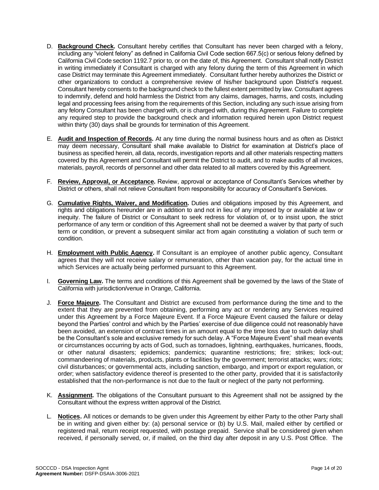- D. **Background Check.** Consultant hereby certifies that Consultant has never been charged with a felony, including any "violent felony" as defined in California Civil Code section 667.5(c) or serious felony defined by California Civil Code section 1192.7 prior to, or on the date of, this Agreement. Consultant shall notify District in writing immediately if Consultant is charged with any felony during the term of this Agreement in which case District may terminate this Agreement immediately. Consultant further hereby authorizes the District or other organizations to conduct a comprehensive review of his/her background upon District's request. Consultant hereby consents to the background check to the fullest extent permitted by law. Consultant agrees to indemnify, defend and hold harmless the District from any claims, damages, harms, and costs, including legal and processing fees arising from the requirements of this Section, including any such issue arising from any felony Consultant has been charged with, or is charged with, during this Agreement. Failure to complete any required step to provide the background check and information required herein upon District request within thirty (30) days shall be grounds for termination of this Agreement.
- E. **Audit and Inspection of Records.** At any time during the normal business hours and as often as District may deem necessary, Consultant shall make available to District for examination at District's place of business as specified herein, all data, records, investigation reports and all other materials respecting matters covered by this Agreement and Consultant will permit the District to audit, and to make audits of all invoices, materials, payroll, records of personnel and other data related to all matters covered by this Agreement.
- F. **Review, Approval, or Acceptance.** Review, approval or acceptance of Consultant's Services whether by District or others, shall not relieve Consultant from responsibility for accuracy of Consultant's Services.
- G. **Cumulative Rights, Waiver, and Modification.** Duties and obligations imposed by this Agreement, and rights and obligations hereunder are in addition to and not in lieu of any imposed by or available at law or inequity. The failure of District or Consultant to seek redress for violation of, or to insist upon, the strict performance of any term or condition of this Agreement shall not be deemed a waiver by that party of such term or condition, or prevent a subsequent similar act from again constituting a violation of such term or condition.
- H. **Employment with Public Agency.** If Consultant is an employee of another public agency, Consultant agrees that they will not receive salary or remuneration, other than vacation pay, for the actual time in which Services are actually being performed pursuant to this Agreement.
- I. **Governing Law.** The terms and conditions of this Agreement shall be governed by the laws of the State of California with jurisdiction/venue in Orange, California.
- J. **Force Majeure.** The Consultant and District are excused from performance during the time and to the extent that they are prevented from obtaining, performing any act or rendering any Services required under this Agreement by a Force Majeure Event. If a Force Majeure Event caused the failure or delay beyond the Parties' control and which by the Parties' exercise of due diligence could not reasonably have been avoided, an extension of contract times in an amount equal to the time loss due to such delay shall be the Consultant's sole and exclusive remedy for such delay. A "Force Majeure Event" shall mean events or circumstances occurring by acts of God, such as tornadoes, lightning, earthquakes, hurricanes, floods, or other natural disasters; epidemics; pandemics; quarantine restrictions; fire; strikes; lock-out; commandeering of materials, products, plants or facilities by the government; terrorist attacks; wars; riots; civil disturbances; or governmental acts, including sanction, embargo, and import or export regulation, or order; when satisfactory evidence thereof is presented to the other party, provided that it is satisfactorily established that the non-performance is not due to the fault or neglect of the party not performing.
- K. **Assignment.** The obligations of the Consultant pursuant to this Agreement shall not be assigned by the Consultant without the express written approval of the District.
- L. **Notices.** All notices or demands to be given under this Agreement by either Party to the other Party shall be in writing and given either by: (a) personal service or (b) by U.S. Mail, mailed either by certified or registered mail, return receipt requested, with postage prepaid. Service shall be considered given when received, if personally served, or, if mailed, on the third day after deposit in any U.S. Post Office. The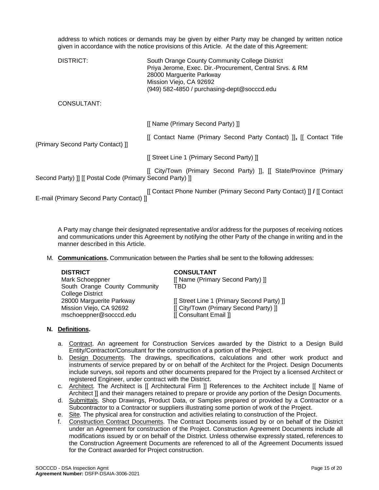address to which notices or demands may be given by either Party may be changed by written notice given in accordance with the notice provisions of this Article. At the date of this Agreement:

| DISTRICT:                                                 | South Orange County Community College District<br>Priya Jerome, Exec. Dir.-Procurement, Central Srvs. & RM<br>28000 Marguerite Parkway<br>Mission Viejo, CA 92692<br>(949) 582-4850 / purchasing-dept@socccd.edu |
|-----------------------------------------------------------|------------------------------------------------------------------------------------------------------------------------------------------------------------------------------------------------------------------|
| CONSULTANT:                                               |                                                                                                                                                                                                                  |
|                                                           | [[ Name (Primary Second Party) ]]                                                                                                                                                                                |
| (Primary Second Party Contact) ]]                         | [[ Contact Name (Primary Second Party Contact) ]], [[ Contact Title                                                                                                                                              |
|                                                           | [[ Street Line 1 (Primary Second Party) ]]                                                                                                                                                                       |
| Second Party) ]] [[ Postal Code (Primary Second Party) ]] | [[ City/Town (Primary Second Party) ]], [[ State/Province (Primary                                                                                                                                               |
| E-mail (Primary Second Party Contact) ]]                  | [[ Contact Phone Number (Primary Second Party Contact) ] / [[ Contact]                                                                                                                                           |

A Party may change their designated representative and/or address for the purposes of receiving notices and communications under this Agreement by notifying the other Party of the change in writing and in the manner described in this Article.

M. **Communications.** Communication between the Parties shall be sent to the following addresses:

Mark Schoeppner [[ Name (Primary Second Party) ]] South Orange County Community College District 28000 Marguerite Parkway [[ Street Line 1 (Primary Second Party) ]] mschoeppner@socccd.edu [[ Consultant Email ]]

#### **DISTRICT CONSULTANT**

TBD

Mission Viejo, CA 92692 **[City/Town (Primary Second Party)** ]]

#### **N. Definitions.**

- a. Contract. An agreement for Construction Services awarded by the District to a Design Build Entity/Contractor/Consultant for the construction of a portion of the Project.
- b. Design Documents. The drawings, specifications, calculations and other work product and instruments of service prepared by or on behalf of the Architect for the Project. Design Documents include surveys, soil reports and other documents prepared for the Project by a licensed Architect or registered Engineer, under contract with the District.
- c. Architect. The Architect is [[ Architectural Firm ]] References to the Architect include [[ Name of Architect ]] and their managers retained to prepare or provide any portion of the Design Documents.
- d. Submittals. Shop Drawings, Product Data, or Samples prepared or provided by a Contractor or a Subcontractor to a Contractor or suppliers illustrating some portion of work of the Project.
- e. Site. The physical area for construction and activities relating to construction of the Project.
- f. Construction Contract Documents. The Contract Documents issued by or on behalf of the District under an Agreement for construction of the Project. Construction Agreement Documents include all modifications issued by or on behalf of the District. Unless otherwise expressly stated, references to the Construction Agreement Documents are referenced to all of the Agreement Documents issued for the Contract awarded for Project construction.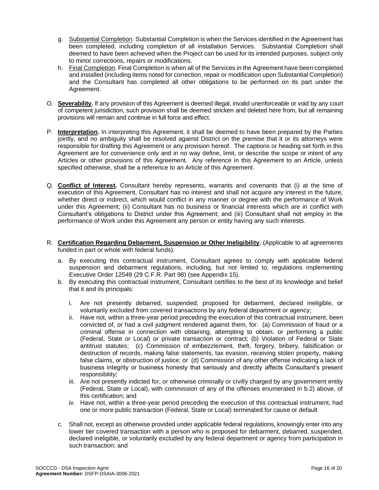- g. Substantial Completion. Substantial Completion is when the Services identified in the Agreement has been completed, including completion of all installation Services. Substantial Completion shall deemed to have been achieved when the Project can be used for its intended purposes, subject only to minor corrections, repairs or modifications.
- h. Final Completion. Final Completion is when all of the Services in the Agreement have been completed and installed (including items noted for correction, repair or modification upon Substantial Completion) and the Consultant has completed all other obligations to be performed on its part under the Agreement.
- O. **Severability.** If any provision of this Agreement is deemed illegal, invalid unenforceable or void by any court of competent jurisdiction, such provision shall be deemed stricken and deleted here from, but all remaining provisions will remain and continue in full force and effect.
- P. **Interpretation.** In interpreting this Agreement, it shall be deemed to have been prepared by the Parties jointly, and no ambiguity shall be resolved against District on the premise that it or its attorneys were responsible for drafting this Agreement or any provision hereof. The captions or heading set forth in this Agreement are for convenience only and in no way define, limit, or describe the scope or intent of any Articles or other provisions of this Agreement. Any reference in this Agreement to an Article, unless specified otherwise, shall be a reference to an Article of this Agreement.
- Q. **Conflict of Interest.** Consultant hereby represents, warrants and covenants that (i) at the time of execution of this Agreement, Consultant has no interest and shall not acquire any interest in the future, whether direct or indirect, which would conflict in any manner or degree with the performance of Work under this Agreement; (ii) Consultant has no business or financial interests which are in conflict with Consultant's obligations to District under this Agreement; and (iii) Consultant shall not employ in the performance of Work under this Agreement any person or entity having any such interests.
- R. **Certification Regarding Debarment, Suspension or Other Ineligibility.** (Applicable to all agreements funded in part or whole with federal funds).
	- a. By executing this contractual instrument, Consultant agrees to comply with applicable federal suspension and debarment regulations, including, but not limited to, regulations implementing Executive Order 12549 (29 C.F.R. Part 98) (see Appendix 15).
	- b. By executing this contractual instrument, Consultant certifies to the best of its knowledge and belief that it and its principals:
		- i. Are not presently debarred, suspended, proposed for debarment, declared ineligible, or voluntarily excluded from covered transactions by any federal department or agency;
		- ii. Have not, within a three-year period preceding the execution of this contractual instrument, been convicted of, or had a civil judgment rendered against them, for: (a) Commission of fraud or a criminal offense in connection with obtaining, attempting to obtain, or performing a public (Federal, State or Local) or private transaction or contract; (b) Violation of Federal or State antitrust statutes; (c) Commission of embezzlement, theft, forgery, bribery, falsification or destruction of records, making false statements, tax evasion, receiving stolen property, making false claims, or obstruction of justice; or (d) Commission of any other offense indicating a lack of business integrity or business honesty that seriously and directly affects Consultant's present responsibility;
		- iii. Are not presently indicted for, or otherwise criminally or civilly charged by any government entity (Federal, State or Local), with commission of any of the offenses enumerated in b.2) above, of this certification; and
		- iv. Have not, within a three-year period preceding the execution of this contractual instrument, had one or more public transaction (Federal, State or Local) terminated for cause or default
	- c. Shall not, except as otherwise provided under applicable federal regulations, knowingly enter into any lower tier covered transaction with a person who is proposed for debarment, debarred, suspended, declared ineligible, or voluntarily excluded by any federal department or agency from participation in such transaction; and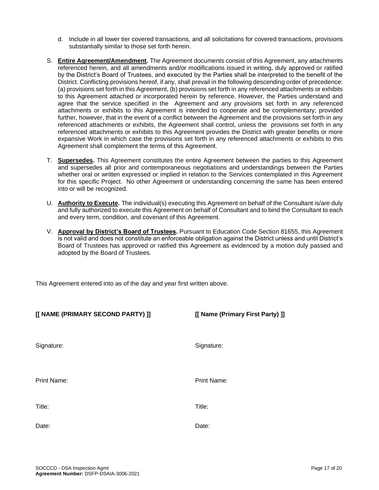- d. Include in all lower tier covered transactions, and all solicitations for covered transactions, provisions substantially similar to those set forth herein.
- S. **Entire Agreement/Amendment.** The Agreement documents consist of this Agreement, any attachments referenced herein, and all amendments and/or modifications issued in writing, duly approved or ratified by the District's Board of Trustees, and executed by the Parties shall be interpreted to the benefit of the District. Conflicting provisions hereof, if any, shall prevail in the following descending order of precedence: (a) provisions set forth in this Agreement, (b) provisions set forth in any referenced attachments or exhibits to this Agreement attached or incorporated herein by reference. However, the Parties understand and agree that the service specified in the Agreement and any provisions set forth in any referenced attachments or exhibits to this Agreement is intended to cooperate and be complementary; provided further, however, that in the event of a conflict between the Agreement and the provisions set forth in any referenced attachments or exhibits, the Agreement shall control, unless the provisions set forth in any referenced attachments or exhibits to this Agreement provides the District with greater benefits or more expansive Work in which case the provisions set forth in any referenced attachments or exhibits to this Agreement shall complement the terms of this Agreement.
- T. **Supersedes.** This Agreement constitutes the entire Agreement between the parties to this Agreement and supersedes all prior and contemporaneous negotiations and understandings between the Parties whether oral or written expressed or implied in relation to the Services contemplated in this Agreement for this specific Project. No other Agreement or understanding concerning the same has been entered into or will be recognized.
- U. **Authority to Execute.** The individual(s) executing this Agreement on behalf of the Consultant is/are duly and fully authorized to execute this Agreement on behalf of Consultant and to bind the Consultant to each and every term, condition, and covenant of this Agreement.
- V. **Approval by District's Board of Trustees.** Pursuant to Education Code Section 81655, this Agreement is not valid and does not constitute an enforceable obligation against the District unless and until District's Board of Trustees has approved or ratified this Agreement as evidenced by a motion duly passed and adopted by the Board of Trustees.

This Agreement entered into as of the day and year first written above.

| [[ NAME (PRIMARY SECOND PARTY) ]] | [[ Name (Primary First Party) ]] |
|-----------------------------------|----------------------------------|
| Signature:                        | Signature:                       |
| Print Name:                       | Print Name:                      |
| Title:                            | Title:                           |
| Date:                             | Date:                            |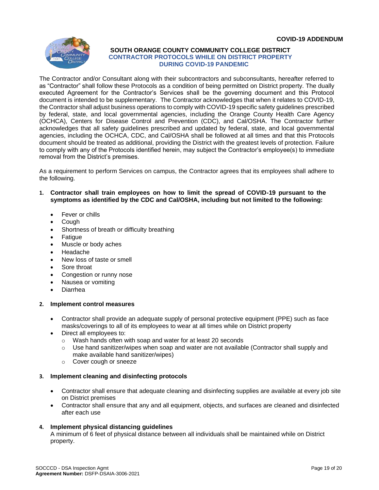

#### **SOUTH ORANGE COUNTY COMMUNITY COLLEGE DISTRICT CONTRACTOR PROTOCOLS WHILE ON DISTRICT PROPERTY DURING COVID-19 PANDEMIC**

The Contractor and/or Consultant along with their subcontractors and subconsultants, hereafter referred to as "Contractor" shall follow these Protocols as a condition of being permitted on District property. The dually executed Agreement for the Contractor's Services shall be the governing document and this Protocol document is intended to be supplementary. The Contractor acknowledges that when it relates to COVID-19, the Contractor shall adjust business operations to comply with COVID-19 specific safety guidelines prescribed by federal, state, and local governmental agencies, including the Orange County Health Care Agency (OCHCA), Centers for Disease Control and Prevention (CDC), and Cal/OSHA. The Contractor further acknowledges that all safety guidelines prescribed and updated by federal, state, and local governmental agencies, including the OCHCA, CDC, and Cal/OSHA shall be followed at all times and that this Protocols document should be treated as additional, providing the District with the greatest levels of protection. Failure to comply with any of the Protocols identified herein, may subject the Contractor's employee(s) to immediate removal from the District's premises.

As a requirement to perform Services on campus, the Contractor agrees that its employees shall adhere to the following.

- **1. Contractor shall train employees on how to limit the spread of COVID-19 pursuant to the symptoms as identified by the CDC and Cal/OSHA, including but not limited to the following:**
	- Fever or chills
	- Cough
	- Shortness of breath or difficulty breathing
	- **Fatigue**
	- Muscle or body aches
	- Headache
	- New loss of taste or smell
	- Sore throat
	- Congestion or runny nose
	- Nausea or vomiting
	- Diarrhea

#### **2. Implement control measures**

- Contractor shall provide an adequate supply of personal protective equipment (PPE) such as face masks/coverings to all of its employees to wear at all times while on District property
- Direct all employees to:
	- o Wash hands often with soap and water for at least 20 seconds
	- $\circ$  Use hand sanitizer/wipes when soap and water are not available (Contractor shall supply and make available hand sanitizer/wipes)
	- o Cover cough or sneeze

#### **3. Implement cleaning and disinfecting protocols**

- Contractor shall ensure that adequate cleaning and disinfecting supplies are available at every job site on District premises
- Contractor shall ensure that any and all equipment, objects, and surfaces are cleaned and disinfected after each use

#### **4. Implement physical distancing guidelines**

A minimum of 6 feet of physical distance between all individuals shall be maintained while on District property.